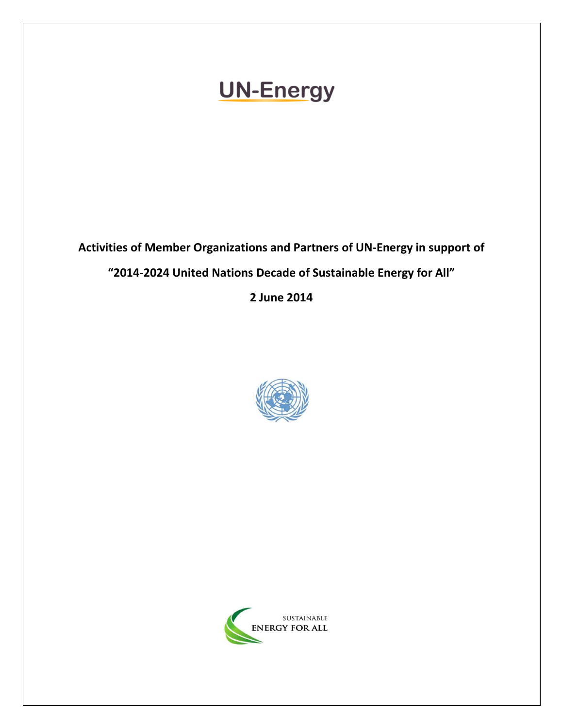# **UN-Energy**

Activities of Member Organizations and Partners of UN-Energy in support of "2014-2024 United Nations Decade of Sustainable Energy for All" 2 June 2014



 $\overline{a}$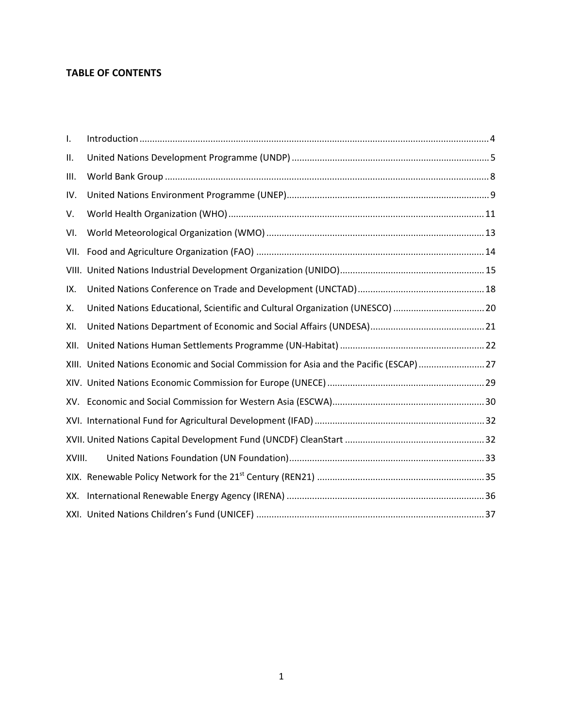# TABLE OF CONTENTS

| I.     |                                                                                        |  |
|--------|----------------------------------------------------------------------------------------|--|
| ΙΙ.    |                                                                                        |  |
| Ш.     |                                                                                        |  |
| IV.    |                                                                                        |  |
| V.     |                                                                                        |  |
| VI.    |                                                                                        |  |
| VII.   |                                                                                        |  |
|        |                                                                                        |  |
| IX.    |                                                                                        |  |
| Χ.     | United Nations Educational, Scientific and Cultural Organization (UNESCO) 20           |  |
| XI.    |                                                                                        |  |
| XII.   |                                                                                        |  |
|        | XIII. United Nations Economic and Social Commission for Asia and the Pacific (ESCAP)27 |  |
|        |                                                                                        |  |
| XV.    |                                                                                        |  |
|        |                                                                                        |  |
|        |                                                                                        |  |
| XVIII. |                                                                                        |  |
|        |                                                                                        |  |
| XX.    |                                                                                        |  |
|        |                                                                                        |  |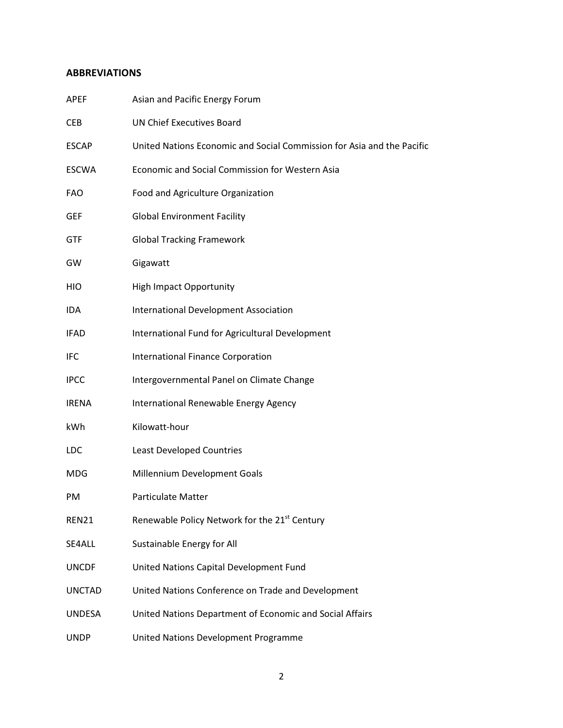# ABBREVIATIONS

| <b>APEF</b>   | Asian and Pacific Energy Forum                                         |
|---------------|------------------------------------------------------------------------|
| <b>CEB</b>    | <b>UN Chief Executives Board</b>                                       |
| <b>ESCAP</b>  | United Nations Economic and Social Commission for Asia and the Pacific |
| <b>ESCWA</b>  | Economic and Social Commission for Western Asia                        |
| <b>FAO</b>    | Food and Agriculture Organization                                      |
| GEF           | <b>Global Environment Facility</b>                                     |
| <b>GTF</b>    | <b>Global Tracking Framework</b>                                       |
| GW            | Gigawatt                                                               |
| HIO           | <b>High Impact Opportunity</b>                                         |
| IDA           | <b>International Development Association</b>                           |
| <b>IFAD</b>   | International Fund for Agricultural Development                        |
| IFC           | <b>International Finance Corporation</b>                               |
| <b>IPCC</b>   | Intergovernmental Panel on Climate Change                              |
| <b>IRENA</b>  | International Renewable Energy Agency                                  |
| kWh           | Kilowatt-hour                                                          |
| LDC           | <b>Least Developed Countries</b>                                       |
| MDG           | Millennium Development Goals                                           |
| <b>PM</b>     | <b>Particulate Matter</b>                                              |
| REN21         | Renewable Policy Network for the 21st Century                          |
| SE4ALL        | Sustainable Energy for All                                             |
| <b>UNCDF</b>  | United Nations Capital Development Fund                                |
| <b>UNCTAD</b> | United Nations Conference on Trade and Development                     |
| UNDESA        | United Nations Department of Economic and Social Affairs               |
| <b>UNDP</b>   | United Nations Development Programme                                   |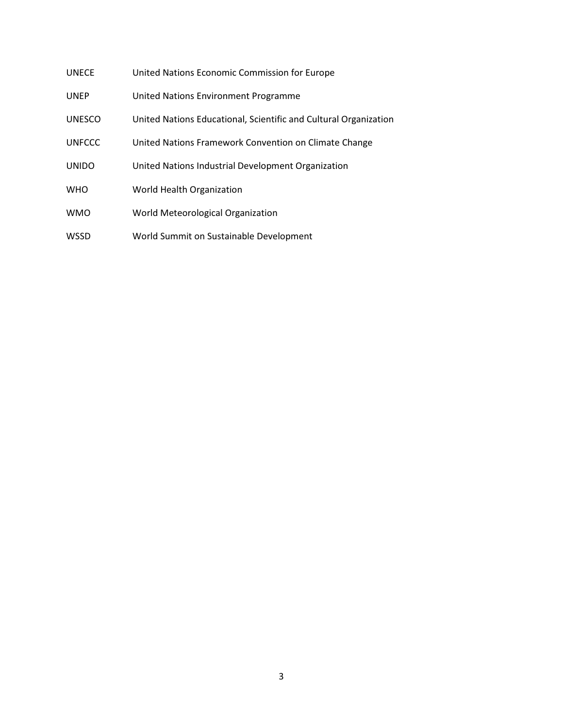| UNECE | United Nations Economic Commission for Europe |
|-------|-----------------------------------------------|
|-------|-----------------------------------------------|

- UNEP United Nations Environment Programme
- UNESCO United Nations Educational, Scientific and Cultural Organization
- UNFCCC United Nations Framework Convention on Climate Change
- UNIDO United Nations Industrial Development Organization
- WHO World Health Organization
- WMO World Meteorological Organization
- WSSD World Summit on Sustainable Development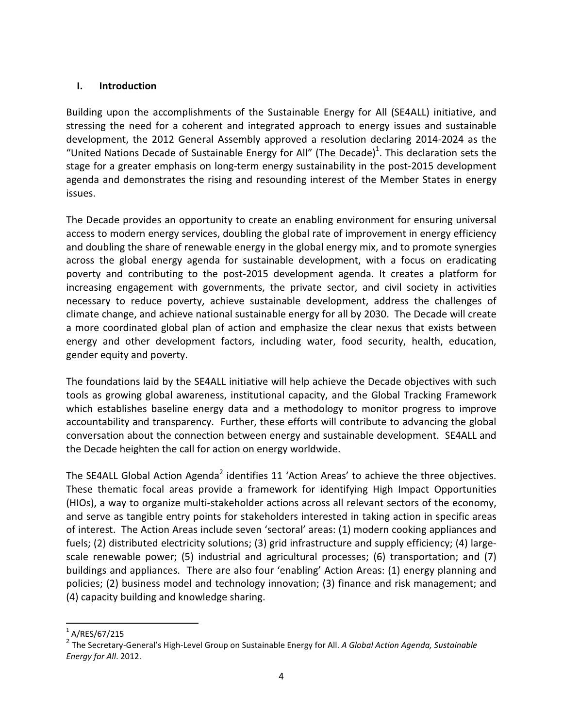## I. Introduction

Building upon the accomplishments of the Sustainable Energy for All (SE4ALL) initiative, and stressing the need for a coherent and integrated approach to energy issues and sustainable development, the 2012 General Assembly approved a resolution declaring 2014-2024 as the "United Nations Decade of Sustainable Energy for All" (The Decade)<sup>1</sup>. This declaration sets the stage for a greater emphasis on long-term energy sustainability in the post-2015 development agenda and demonstrates the rising and resounding interest of the Member States in energy issues.

The Decade provides an opportunity to create an enabling environment for ensuring universal access to modern energy services, doubling the global rate of improvement in energy efficiency and doubling the share of renewable energy in the global energy mix, and to promote synergies across the global energy agenda for sustainable development, with a focus on eradicating poverty and contributing to the post-2015 development agenda. It creates a platform for increasing engagement with governments, the private sector, and civil society in activities necessary to reduce poverty, achieve sustainable development, address the challenges of climate change, and achieve national sustainable energy for all by 2030. The Decade will create a more coordinated global plan of action and emphasize the clear nexus that exists between energy and other development factors, including water, food security, health, education, gender equity and poverty.

The foundations laid by the SE4ALL initiative will help achieve the Decade objectives with such tools as growing global awareness, institutional capacity, and the Global Tracking Framework which establishes baseline energy data and a methodology to monitor progress to improve accountability and transparency. Further, these efforts will contribute to advancing the global conversation about the connection between energy and sustainable development. SE4ALL and the Decade heighten the call for action on energy worldwide.

The SE4ALL Global Action Agenda<sup>2</sup> identifies 11 'Action Areas' to achieve the three objectives. These thematic focal areas provide a framework for identifying High Impact Opportunities (HIOs), a way to organize multi-stakeholder actions across all relevant sectors of the economy, and serve as tangible entry points for stakeholders interested in taking action in specific areas of interest. The Action Areas include seven 'sectoral' areas: (1) modern cooking appliances and fuels; (2) distributed electricity solutions; (3) grid infrastructure and supply efficiency; (4) largescale renewable power; (5) industrial and agricultural processes; (6) transportation; and (7) buildings and appliances. There are also four 'enabling' Action Areas: (1) energy planning and policies; (2) business model and technology innovation; (3) finance and risk management; and (4) capacity building and knowledge sharing.

-

 $^{1}$  A/RES/67/215

 $^2$  The Secretary-General's High-Level Group on Sustainable Energy for All. A Global Action Agenda, Sustainable Energy for All. 2012.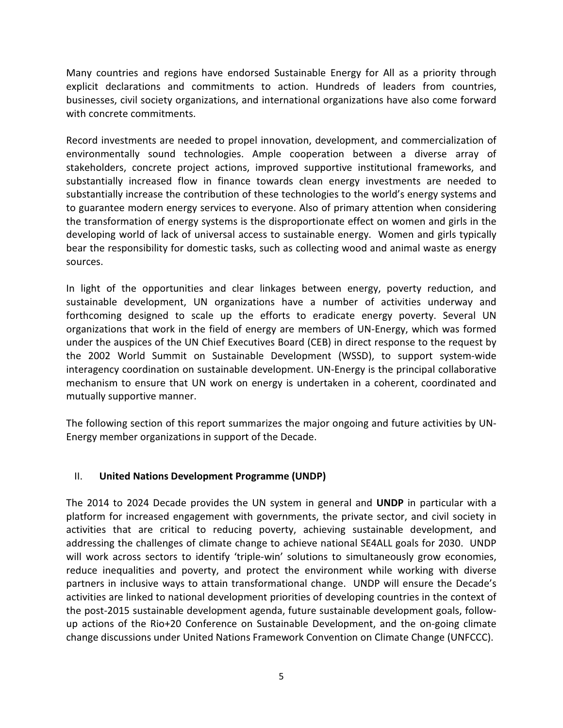Many countries and regions have endorsed Sustainable Energy for All as a priority through explicit declarations and commitments to action. Hundreds of leaders from countries, businesses, civil society organizations, and international organizations have also come forward with concrete commitments.

Record investments are needed to propel innovation, development, and commercialization of environmentally sound technologies. Ample cooperation between a diverse array of stakeholders, concrete project actions, improved supportive institutional frameworks, and substantially increased flow in finance towards clean energy investments are needed to substantially increase the contribution of these technologies to the world's energy systems and to guarantee modern energy services to everyone. Also of primary attention when considering the transformation of energy systems is the disproportionate effect on women and girls in the developing world of lack of universal access to sustainable energy. Women and girls typically bear the responsibility for domestic tasks, such as collecting wood and animal waste as energy sources.

In light of the opportunities and clear linkages between energy, poverty reduction, and sustainable development, UN organizations have a number of activities underway and forthcoming designed to scale up the efforts to eradicate energy poverty. Several UN organizations that work in the field of energy are members of UN-Energy, which was formed under the auspices of the UN Chief Executives Board (CEB) in direct response to the request by the 2002 World Summit on Sustainable Development (WSSD), to support system-wide interagency coordination on sustainable development. UN-Energy is the principal collaborative mechanism to ensure that UN work on energy is undertaken in a coherent, coordinated and mutually supportive manner.

The following section of this report summarizes the major ongoing and future activities by UN-Energy member organizations in support of the Decade.

## II. United Nations Development Programme (UNDP)

The 2014 to 2024 Decade provides the UN system in general and UNDP in particular with a platform for increased engagement with governments, the private sector, and civil society in activities that are critical to reducing poverty, achieving sustainable development, and addressing the challenges of climate change to achieve national SE4ALL goals for 2030. UNDP will work across sectors to identify 'triple-win' solutions to simultaneously grow economies, reduce inequalities and poverty, and protect the environment while working with diverse partners in inclusive ways to attain transformational change. UNDP will ensure the Decade's activities are linked to national development priorities of developing countries in the context of the post-2015 sustainable development agenda, future sustainable development goals, followup actions of the Rio+20 Conference on Sustainable Development, and the on-going climate change discussions under United Nations Framework Convention on Climate Change (UNFCCC).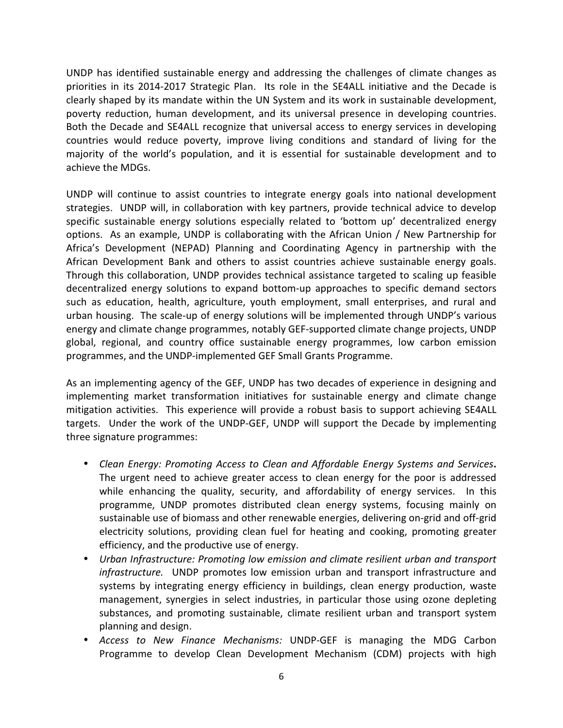UNDP has identified sustainable energy and addressing the challenges of climate changes as priorities in its 2014-2017 Strategic Plan. Its role in the SE4ALL initiative and the Decade is clearly shaped by its mandate within the UN System and its work in sustainable development, poverty reduction, human development, and its universal presence in developing countries. Both the Decade and SE4ALL recognize that universal access to energy services in developing countries would reduce poverty, improve living conditions and standard of living for the majority of the world's population, and it is essential for sustainable development and to achieve the MDGs.

UNDP will continue to assist countries to integrate energy goals into national development strategies. UNDP will, in collaboration with key partners, provide technical advice to develop specific sustainable energy solutions especially related to 'bottom up' decentralized energy options. As an example, UNDP is collaborating with the African Union / New Partnership for Africa's Development (NEPAD) Planning and Coordinating Agency in partnership with the African Development Bank and others to assist countries achieve sustainable energy goals. Through this collaboration, UNDP provides technical assistance targeted to scaling up feasible decentralized energy solutions to expand bottom-up approaches to specific demand sectors such as education, health, agriculture, youth employment, small enterprises, and rural and urban housing. The scale-up of energy solutions will be implemented through UNDP's various energy and climate change programmes, notably GEF-supported climate change projects, UNDP global, regional, and country office sustainable energy programmes, low carbon emission programmes, and the UNDP-implemented GEF Small Grants Programme.

As an implementing agency of the GEF, UNDP has two decades of experience in designing and implementing market transformation initiatives for sustainable energy and climate change mitigation activities. This experience will provide a robust basis to support achieving SE4ALL targets. Under the work of the UNDP-GEF, UNDP will support the Decade by implementing three signature programmes:

- Clean Energy: Promoting Access to Clean and Affordable Energy Systems and Services. The urgent need to achieve greater access to clean energy for the poor is addressed while enhancing the quality, security, and affordability of energy services. In this programme, UNDP promotes distributed clean energy systems, focusing mainly on sustainable use of biomass and other renewable energies, delivering on-grid and off-grid electricity solutions, providing clean fuel for heating and cooking, promoting greater efficiency, and the productive use of energy.
- Urban Infrastructure: Promoting low emission and climate resilient urban and transport infrastructure. UNDP promotes low emission urban and transport infrastructure and systems by integrating energy efficiency in buildings, clean energy production, waste management, synergies in select industries, in particular those using ozone depleting substances, and promoting sustainable, climate resilient urban and transport system planning and design.
- Access to New Finance Mechanisms: UNDP-GEF is managing the MDG Carbon Programme to develop Clean Development Mechanism (CDM) projects with high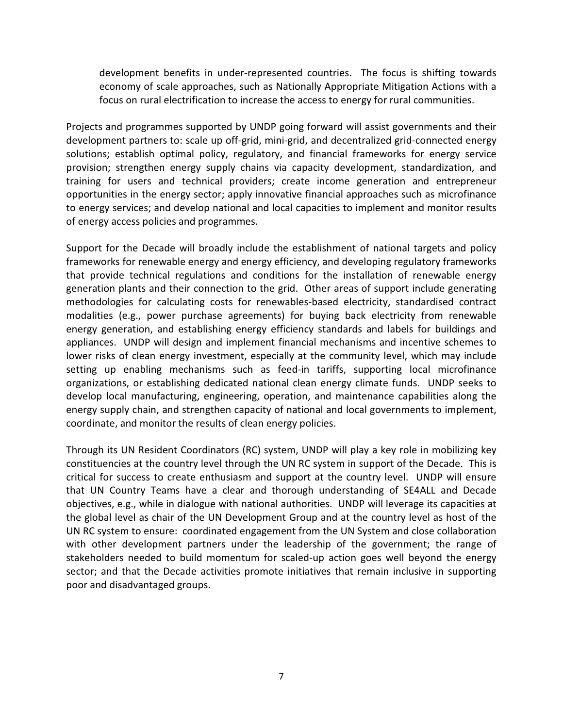development benefits in under-represented countries. The focus is shifting towards economy of scale approaches, such as Nationally Appropriate Mitigation Actions with a focus on rural electrification to increase the access to energy for rural communities.

Projects and programmes supported by UNDP going forward will assist governments and their development partners to: scale up off-grid, mini-grid, and decentralized grid-connected energy solutions; establish optimal policy, regulatory, and financial frameworks for energy service provision; strengthen energy supply chains via capacity development, standardization, and training for users and technical providers; create income generation and entrepreneur opportunities in the energy sector; apply innovative financial approaches such as microfinance to energy services; and develop national and local capacities to implement and monitor results of energy access policies and programmes.

Support for the Decade will broadly include the establishment of national targets and policy frameworks for renewable energy and energy efficiency, and developing regulatory frameworks that provide technical regulations and conditions for the installation of renewable energy generation plants and their connection to the grid. Other areas of support include generating methodologies for calculating costs for renewables-based electricity, standardised contract modalities (e.g., power purchase agreements) for buying back electricity from renewable energy generation, and establishing energy efficiency standards and labels for buildings and appliances. UNDP will design and implement financial mechanisms and incentive schemes to lower risks of clean energy investment, especially at the community level, which may include setting up enabling mechanisms such as feed-in tariffs, supporting local microfinance organizations, or establishing dedicated national clean energy climate funds. UNDP seeks to develop local manufacturing, engineering, operation, and maintenance capabilities along the energy supply chain, and strengthen capacity of national and local governments to implement, coordinate, and monitor the results of clean energy policies.

Through its UN Resident Coordinators (RC) system, UNDP will play a key role in mobilizing key constituencies at the country level through the UN RC system in support of the Decade. This is critical for success to create enthusiasm and support at the country level. UNDP will ensure that UN Country Teams have a clear and thorough understanding of SE4ALL and Decade objectives, e.g., while in dialogue with national authorities. UNDP will leverage its capacities at the global level as chair of the UN Development Group and at the country level as host of the UN RC system to ensure: coordinated engagement from the UN System and close collaboration with other development partners under the leadership of the government; the range of stakeholders needed to build momentum for scaled-up action goes well beyond the energy sector; and that the Decade activities promote initiatives that remain inclusive in supporting poor and disadvantaged groups.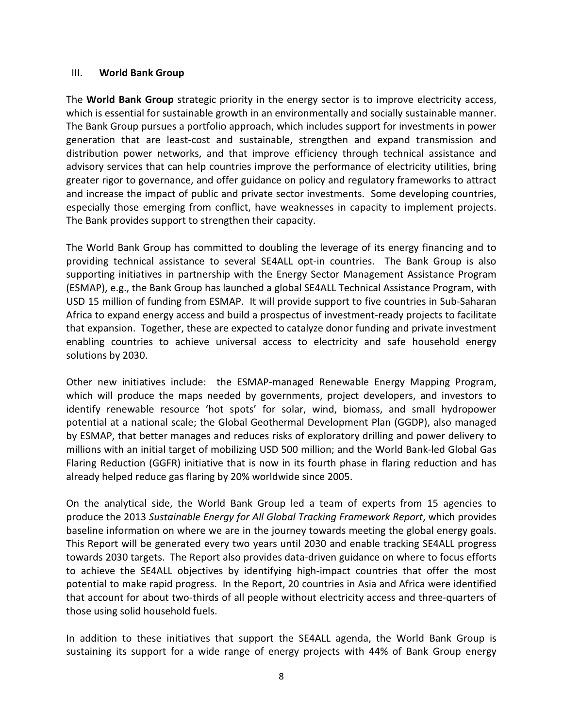#### III. World Bank Group

The **World Bank Group** strategic priority in the energy sector is to improve electricity access, which is essential for sustainable growth in an environmentally and socially sustainable manner. The Bank Group pursues a portfolio approach, which includes support for investments in power generation that are least-cost and sustainable, strengthen and expand transmission and distribution power networks, and that improve efficiency through technical assistance and advisory services that can help countries improve the performance of electricity utilities, bring greater rigor to governance, and offer guidance on policy and regulatory frameworks to attract and increase the impact of public and private sector investments. Some developing countries, especially those emerging from conflict, have weaknesses in capacity to implement projects. The Bank provides support to strengthen their capacity.

The World Bank Group has committed to doubling the leverage of its energy financing and to providing technical assistance to several SE4ALL opt-in countries. The Bank Group is also supporting initiatives in partnership with the Energy Sector Management Assistance Program (ESMAP), e.g., the Bank Group has launched a global SE4ALL Technical Assistance Program, with USD 15 million of funding from ESMAP. It will provide support to five countries in Sub-Saharan Africa to expand energy access and build a prospectus of investment-ready projects to facilitate that expansion. Together, these are expected to catalyze donor funding and private investment enabling countries to achieve universal access to electricity and safe household energy solutions by 2030.

Other new initiatives include: the ESMAP-managed Renewable Energy Mapping Program, which will produce the maps needed by governments, project developers, and investors to identify renewable resource 'hot spots' for solar, wind, biomass, and small hydropower potential at a national scale; the Global Geothermal Development Plan (GGDP), also managed by ESMAP, that better manages and reduces risks of exploratory drilling and power delivery to millions with an initial target of mobilizing USD 500 million; and the World Bank-led Global Gas Flaring Reduction (GGFR) initiative that is now in its fourth phase in flaring reduction and has already helped reduce gas flaring by 20% worldwide since 2005.

On the analytical side, the World Bank Group led a team of experts from 15 agencies to produce the 2013 Sustainable Energy for All Global Tracking Framework Report, which provides baseline information on where we are in the journey towards meeting the global energy goals. This Report will be generated every two years until 2030 and enable tracking SE4ALL progress towards 2030 targets. The Report also provides data-driven guidance on where to focus efforts to achieve the SE4ALL objectives by identifying high-impact countries that offer the most potential to make rapid progress. In the Report, 20 countries in Asia and Africa were identified that account for about two-thirds of all people without electricity access and three-quarters of those using solid household fuels.

In addition to these initiatives that support the SE4ALL agenda, the World Bank Group is sustaining its support for a wide range of energy projects with 44% of Bank Group energy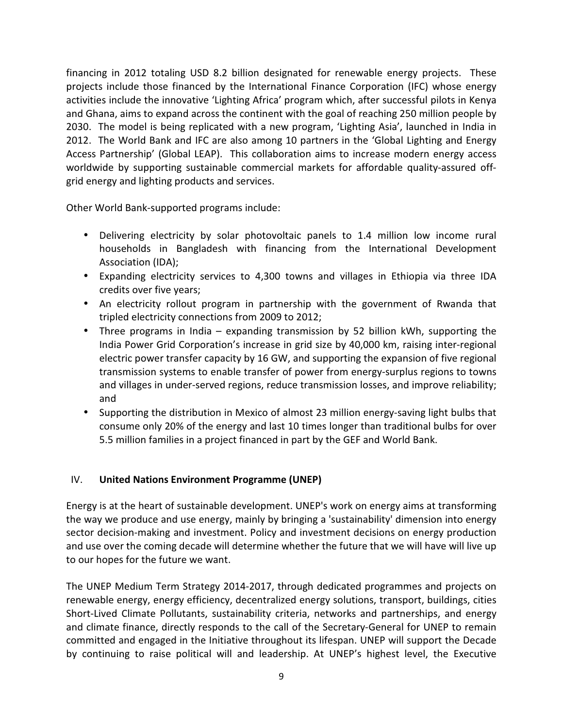financing in 2012 totaling USD 8.2 billion designated for renewable energy projects. These projects include those financed by the International Finance Corporation (IFC) whose energy activities include the innovative 'Lighting Africa' program which, after successful pilots in Kenya and Ghana, aims to expand across the continent with the goal of reaching 250 million people by 2030. The model is being replicated with a new program, 'Lighting Asia', launched in India in 2012. The World Bank and IFC are also among 10 partners in the 'Global Lighting and Energy Access Partnership' (Global LEAP). This collaboration aims to increase modern energy access worldwide by supporting sustainable commercial markets for affordable quality-assured offgrid energy and lighting products and services.

Other World Bank-supported programs include:

- Delivering electricity by solar photovoltaic panels to 1.4 million low income rural households in Bangladesh with financing from the International Development Association (IDA);
- Expanding electricity services to 4,300 towns and villages in Ethiopia via three IDA credits over five years;
- An electricity rollout program in partnership with the government of Rwanda that tripled electricity connections from 2009 to 2012;
- Three programs in India expanding transmission by 52 billion kWh, supporting the India Power Grid Corporation's increase in grid size by 40,000 km, raising inter-regional electric power transfer capacity by 16 GW, and supporting the expansion of five regional transmission systems to enable transfer of power from energy-surplus regions to towns and villages in under-served regions, reduce transmission losses, and improve reliability; and
- Supporting the distribution in Mexico of almost 23 million energy-saving light bulbs that consume only 20% of the energy and last 10 times longer than traditional bulbs for over 5.5 million families in a project financed in part by the GEF and World Bank.

# IV. United Nations Environment Programme (UNEP)

Energy is at the heart of sustainable development. UNEP's work on energy aims at transforming the way we produce and use energy, mainly by bringing a 'sustainability' dimension into energy sector decision-making and investment. Policy and investment decisions on energy production and use over the coming decade will determine whether the future that we will have will live up to our hopes for the future we want.

The UNEP Medium Term Strategy 2014-2017, through dedicated programmes and projects on renewable energy, energy efficiency, decentralized energy solutions, transport, buildings, cities Short-Lived Climate Pollutants, sustainability criteria, networks and partnerships, and energy and climate finance, directly responds to the call of the Secretary-General for UNEP to remain committed and engaged in the Initiative throughout its lifespan. UNEP will support the Decade by continuing to raise political will and leadership. At UNEP's highest level, the Executive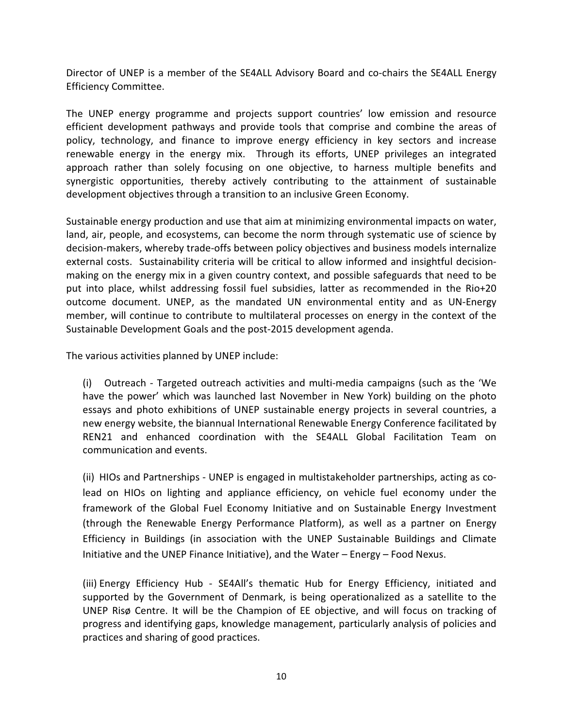Director of UNEP is a member of the SE4ALL Advisory Board and co-chairs the SE4ALL Energy Efficiency Committee.

The UNEP energy programme and projects support countries' low emission and resource efficient development pathways and provide tools that comprise and combine the areas of policy, technology, and finance to improve energy efficiency in key sectors and increase renewable energy in the energy mix. Through its efforts, UNEP privileges an integrated approach rather than solely focusing on one objective, to harness multiple benefits and synergistic opportunities, thereby actively contributing to the attainment of sustainable development objectives through a transition to an inclusive Green Economy.

Sustainable energy production and use that aim at minimizing environmental impacts on water, land, air, people, and ecosystems, can become the norm through systematic use of science by decision-makers, whereby trade-offs between policy objectives and business models internalize external costs. Sustainability criteria will be critical to allow informed and insightful decisionmaking on the energy mix in a given country context, and possible safeguards that need to be put into place, whilst addressing fossil fuel subsidies, latter as recommended in the Rio+20 outcome document. UNEP, as the mandated UN environmental entity and as UN-Energy member, will continue to contribute to multilateral processes on energy in the context of the Sustainable Development Goals and the post-2015 development agenda.

The various activities planned by UNEP include:

(i) Outreach - Targeted outreach activities and multi-media campaigns (such as the 'We have the power' which was launched last November in New York) building on the photo essays and photo exhibitions of UNEP sustainable energy projects in several countries, a new energy website, the biannual International Renewable Energy Conference facilitated by REN21 and enhanced coordination with the SE4ALL Global Facilitation Team on communication and events.

(ii) HIOs and Partnerships - UNEP is engaged in multistakeholder partnerships, acting as colead on HIOs on lighting and appliance efficiency, on vehicle fuel economy under the framework of the Global Fuel Economy Initiative and on Sustainable Energy Investment (through the Renewable Energy Performance Platform), as well as a partner on Energy Efficiency in Buildings (in association with the UNEP Sustainable Buildings and Climate Initiative and the UNEP Finance Initiative), and the Water – Energy – Food Nexus.

(iii) Energy Efficiency Hub - SE4All's thematic Hub for Energy Efficiency, initiated and supported by the Government of Denmark, is being operationalized as a satellite to the UNEP Risø Centre. It will be the Champion of EE objective, and will focus on tracking of progress and identifying gaps, knowledge management, particularly analysis of policies and practices and sharing of good practices.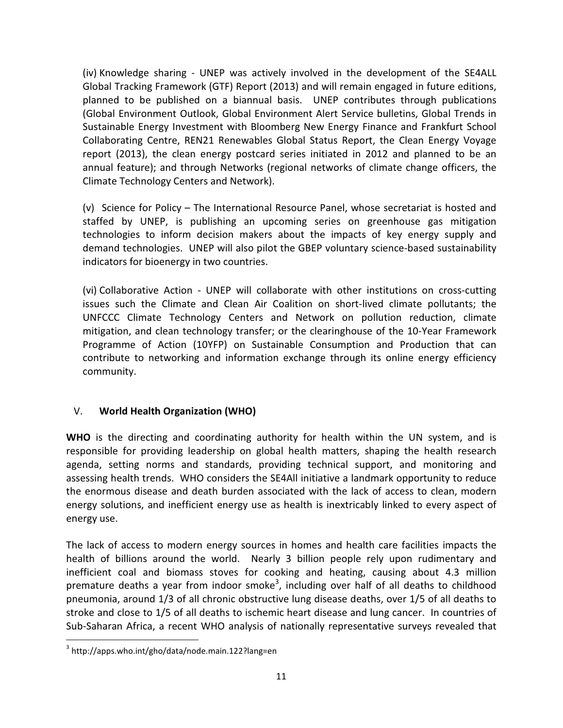(iv) Knowledge sharing - UNEP was actively involved in the development of the SE4ALL Global Tracking Framework (GTF) Report (2013) and will remain engaged in future editions, planned to be published on a biannual basis. UNEP contributes through publications (Global Environment Outlook, Global Environment Alert Service bulletins, Global Trends in Sustainable Energy Investment with Bloomberg New Energy Finance and Frankfurt School Collaborating Centre, REN21 Renewables Global Status Report, the Clean Energy Voyage report (2013), the clean energy postcard series initiated in 2012 and planned to be an annual feature); and through Networks (regional networks of climate change officers, the Climate Technology Centers and Network).

(v) Science for Policy – The International Resource Panel, whose secretariat is hosted and staffed by UNEP, is publishing an upcoming series on greenhouse gas mitigation technologies to inform decision makers about the impacts of key energy supply and demand technologies. UNEP will also pilot the GBEP voluntary science-based sustainability indicators for bioenergy in two countries.

(vi) Collaborative Action - UNEP will collaborate with other institutions on cross-cutting issues such the Climate and Clean Air Coalition on short-lived climate pollutants; the UNFCCC Climate Technology Centers and Network on pollution reduction, climate mitigation, and clean technology transfer; or the clearinghouse of the 10-Year Framework Programme of Action (10YFP) on Sustainable Consumption and Production that can contribute to networking and information exchange through its online energy efficiency community.

# V. World Health Organization (WHO)

WHO is the directing and coordinating authority for health within the UN system, and is responsible for providing leadership on global health matters, shaping the health research agenda, setting norms and standards, providing technical support, and monitoring and assessing health trends. WHO considers the SE4All initiative a landmark opportunity to reduce the enormous disease and death burden associated with the lack of access to clean, modern energy solutions, and inefficient energy use as health is inextricably linked to every aspect of energy use.

The lack of access to modern energy sources in homes and health care facilities impacts the health of billions around the world. Nearly 3 billion people rely upon rudimentary and inefficient coal and biomass stoves for cooking and heating, causing about 4.3 million premature deaths a year from indoor smoke<sup>3</sup>, including over half of all deaths to childhood pneumonia, around 1/3 of all chronic obstructive lung disease deaths, over 1/5 of all deaths to stroke and close to 1/5 of all deaths to ischemic heart disease and lung cancer. In countries of Sub-Saharan Africa, a recent WHO analysis of nationally representative surveys revealed that

-

<sup>&</sup>lt;sup>3</sup> http://apps.who.int/gho/data/node.main.122?lang=en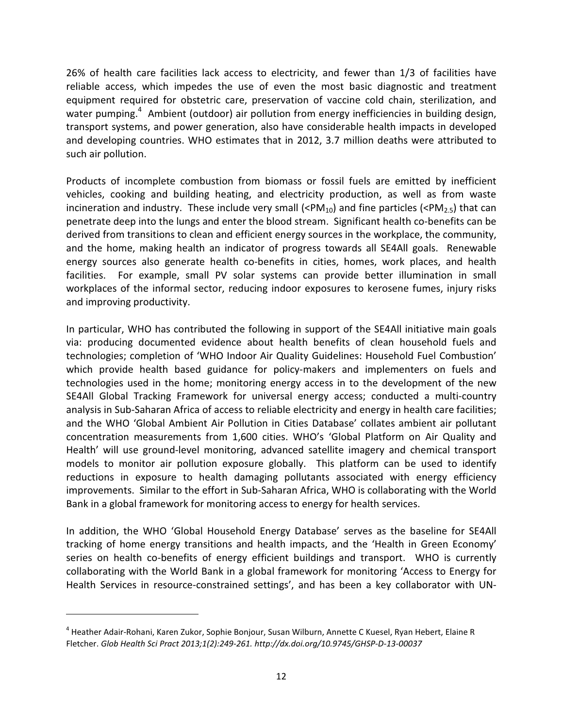26% of health care facilities lack access to electricity, and fewer than 1/3 of facilities have reliable access, which impedes the use of even the most basic diagnostic and treatment equipment required for obstetric care, preservation of vaccine cold chain, sterilization, and water pumping.<sup>4</sup> Ambient (outdoor) air pollution from energy inefficiencies in building design, transport systems, and power generation, also have considerable health impacts in developed and developing countries. WHO estimates that in 2012, 3.7 million deaths were attributed to such air pollution.

Products of incomplete combustion from biomass or fossil fuels are emitted by inefficient vehicles, cooking and building heating, and electricity production, as well as from waste incineration and industry. These include very small (<PM<sub>10</sub>) and fine particles (<PM<sub>2.5</sub>) that can penetrate deep into the lungs and enter the blood stream. Significant health co-benefits can be derived from transitions to clean and efficient energy sources in the workplace, the community, and the home, making health an indicator of progress towards all SE4All goals. Renewable energy sources also generate health co-benefits in cities, homes, work places, and health facilities. For example, small PV solar systems can provide better illumination in small workplaces of the informal sector, reducing indoor exposures to kerosene fumes, injury risks and improving productivity.

In particular, WHO has contributed the following in support of the SE4All initiative main goals via: producing documented evidence about health benefits of clean household fuels and technologies; completion of 'WHO Indoor Air Quality Guidelines: Household Fuel Combustion' which provide health based guidance for policy-makers and implementers on fuels and technologies used in the home; monitoring energy access in to the development of the new SE4All Global Tracking Framework for universal energy access; conducted a multi-country analysis in Sub-Saharan Africa of access to reliable electricity and energy in health care facilities; and the WHO 'Global Ambient Air Pollution in Cities Database' collates ambient air pollutant concentration measurements from 1,600 cities. WHO's 'Global Platform on Air Quality and Health' will use ground-level monitoring, advanced satellite imagery and chemical transport models to monitor air pollution exposure globally. This platform can be used to identify reductions in exposure to health damaging pollutants associated with energy efficiency improvements. Similar to the effort in Sub-Saharan Africa, WHO is collaborating with the World Bank in a global framework for monitoring access to energy for health services.

In addition, the WHO 'Global Household Energy Database' serves as the baseline for SE4All tracking of home energy transitions and health impacts, and the 'Health in Green Economy' series on health co-benefits of energy efficient buildings and transport. WHO is currently collaborating with the World Bank in a global framework for monitoring 'Access to Energy for Health Services in resource-constrained settings', and has been a key collaborator with UN-

<u>.</u>

<sup>&</sup>lt;sup>4</sup> Heather Adair-Rohani, Karen Zukor, Sophie Bonjour, Susan Wilburn, Annette C Kuesel, Ryan Hebert, Elaine R Fletcher. Glob Health Sci Pract 2013;1(2):249-261. http://dx.doi.org/10.9745/GHSP-D-13-00037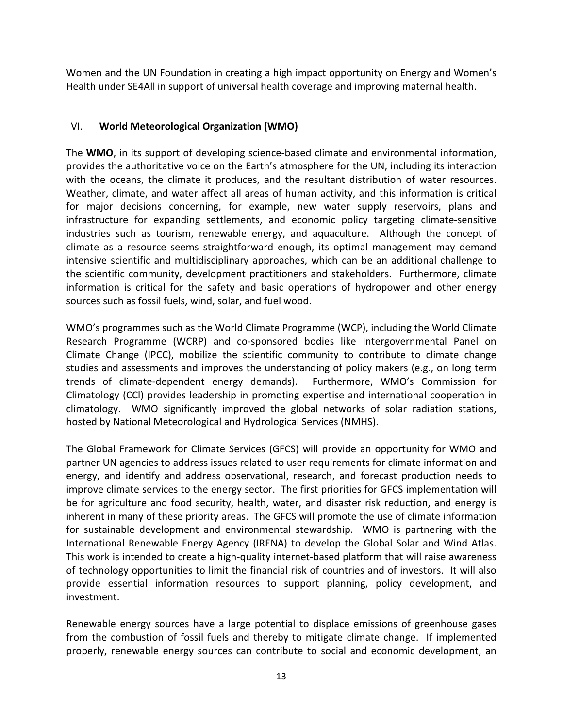Women and the UN Foundation in creating a high impact opportunity on Energy and Women's Health under SE4All in support of universal health coverage and improving maternal health.

## VI. World Meteorological Organization (WMO)

The WMO, in its support of developing science-based climate and environmental information, provides the authoritative voice on the Earth's atmosphere for the UN, including its interaction with the oceans, the climate it produces, and the resultant distribution of water resources. Weather, climate, and water affect all areas of human activity, and this information is critical for major decisions concerning, for example, new water supply reservoirs, plans and infrastructure for expanding settlements, and economic policy targeting climate-sensitive industries such as tourism, renewable energy, and aquaculture. Although the concept of climate as a resource seems straightforward enough, its optimal management may demand intensive scientific and multidisciplinary approaches, which can be an additional challenge to the scientific community, development practitioners and stakeholders. Furthermore, climate information is critical for the safety and basic operations of hydropower and other energy sources such as fossil fuels, wind, solar, and fuel wood.

WMO's programmes such as the World Climate Programme (WCP), including the World Climate Research Programme (WCRP) and co-sponsored bodies like Intergovernmental Panel on Climate Change (IPCC), mobilize the scientific community to contribute to climate change studies and assessments and improves the understanding of policy makers (e.g., on long term trends of climate-dependent energy demands). Furthermore, WMO's Commission for Climatology (CCl) provides leadership in promoting expertise and international cooperation in climatology. WMO significantly improved the global networks of solar radiation stations, hosted by National Meteorological and Hydrological Services (NMHS).

The Global Framework for Climate Services (GFCS) will provide an opportunity for WMO and partner UN agencies to address issues related to user requirements for climate information and energy, and identify and address observational, research, and forecast production needs to improve climate services to the energy sector. The first priorities for GFCS implementation will be for agriculture and food security, health, water, and disaster risk reduction, and energy is inherent in many of these priority areas. The GFCS will promote the use of climate information for sustainable development and environmental stewardship. WMO is partnering with the International Renewable Energy Agency (IRENA) to develop the Global Solar and Wind Atlas. This work is intended to create a high-quality internet-based platform that will raise awareness of technology opportunities to limit the financial risk of countries and of investors. It will also provide essential information resources to support planning, policy development, and investment.

Renewable energy sources have a large potential to displace emissions of greenhouse gases from the combustion of fossil fuels and thereby to mitigate climate change. If implemented properly, renewable energy sources can contribute to social and economic development, an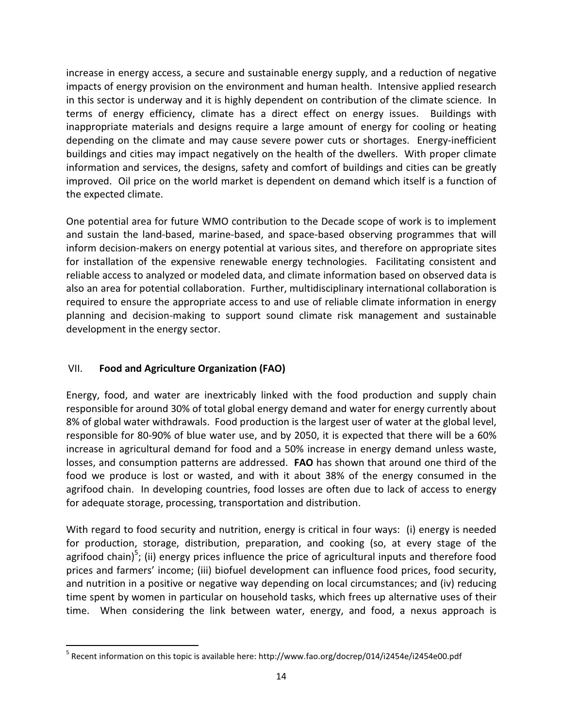increase in energy access, a secure and sustainable energy supply, and a reduction of negative impacts of energy provision on the environment and human health. Intensive applied research in this sector is underway and it is highly dependent on contribution of the climate science. In terms of energy efficiency, climate has a direct effect on energy issues. Buildings with inappropriate materials and designs require a large amount of energy for cooling or heating depending on the climate and may cause severe power cuts or shortages. Energy-inefficient buildings and cities may impact negatively on the health of the dwellers. With proper climate information and services, the designs, safety and comfort of buildings and cities can be greatly improved. Oil price on the world market is dependent on demand which itself is a function of the expected climate.

One potential area for future WMO contribution to the Decade scope of work is to implement and sustain the land-based, marine-based, and space-based observing programmes that will inform decision-makers on energy potential at various sites, and therefore on appropriate sites for installation of the expensive renewable energy technologies. Facilitating consistent and reliable access to analyzed or modeled data, and climate information based on observed data is also an area for potential collaboration. Further, multidisciplinary international collaboration is required to ensure the appropriate access to and use of reliable climate information in energy planning and decision-making to support sound climate risk management and sustainable development in the energy sector.

# VII. Food and Agriculture Organization (FAO)

-

Energy, food, and water are inextricably linked with the food production and supply chain responsible for around 30% of total global energy demand and water for energy currently about 8% of global water withdrawals. Food production is the largest user of water at the global level, responsible for 80-90% of blue water use, and by 2050, it is expected that there will be a 60% increase in agricultural demand for food and a 50% increase in energy demand unless waste, losses, and consumption patterns are addressed. FAO has shown that around one third of the food we produce is lost or wasted, and with it about 38% of the energy consumed in the agrifood chain. In developing countries, food losses are often due to lack of access to energy for adequate storage, processing, transportation and distribution.

With regard to food security and nutrition, energy is critical in four ways: (i) energy is needed for production, storage, distribution, preparation, and cooking (so, at every stage of the agrifood chain)<sup>5</sup>; (ii) energy prices influence the price of agricultural inputs and therefore food prices and farmers' income; (iii) biofuel development can influence food prices, food security, and nutrition in a positive or negative way depending on local circumstances; and (iv) reducing time spent by women in particular on household tasks, which frees up alternative uses of their time. When considering the link between water, energy, and food, a nexus approach is

<sup>&</sup>lt;sup>5</sup> Recent information on this topic is available here: http://www.fao.org/docrep/014/i2454e/i2454e00.pdf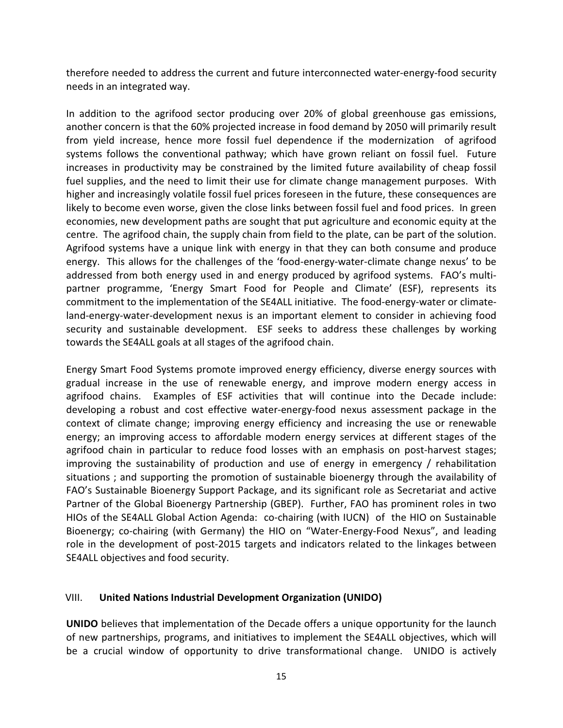therefore needed to address the current and future interconnected water-energy-food security needs in an integrated way.

In addition to the agrifood sector producing over 20% of global greenhouse gas emissions, another concern is that the 60% projected increase in food demand by 2050 will primarily result from yield increase, hence more fossil fuel dependence if the modernization of agrifood systems follows the conventional pathway; which have grown reliant on fossil fuel. Future increases in productivity may be constrained by the limited future availability of cheap fossil fuel supplies, and the need to limit their use for climate change management purposes. With higher and increasingly volatile fossil fuel prices foreseen in the future, these consequences are likely to become even worse, given the close links between fossil fuel and food prices. In green economies, new development paths are sought that put agriculture and economic equity at the centre. The agrifood chain, the supply chain from field to the plate, can be part of the solution. Agrifood systems have a unique link with energy in that they can both consume and produce energy. This allows for the challenges of the 'food-energy-water-climate change nexus' to be addressed from both energy used in and energy produced by agrifood systems. FAO's multipartner programme, 'Energy Smart Food for People and Climate' (ESF), represents its commitment to the implementation of the SE4ALL initiative. The food-energy-water or climateland-energy-water-development nexus is an important element to consider in achieving food security and sustainable development. ESF seeks to address these challenges by working towards the SE4ALL goals at all stages of the agrifood chain.

Energy Smart Food Systems promote improved energy efficiency, diverse energy sources with gradual increase in the use of renewable energy, and improve modern energy access in agrifood chains. Examples of ESF activities that will continue into the Decade include: developing a robust and cost effective water-energy-food nexus assessment package in the context of climate change; improving energy efficiency and increasing the use or renewable energy; an improving access to affordable modern energy services at different stages of the agrifood chain in particular to reduce food losses with an emphasis on post-harvest stages; improving the sustainability of production and use of energy in emergency / rehabilitation situations ; and supporting the promotion of sustainable bioenergy through the availability of FAO's Sustainable Bioenergy Support Package, and its significant role as Secretariat and active Partner of the Global Bioenergy Partnership (GBEP). Further, FAO has prominent roles in two HIOs of the SE4ALL Global Action Agenda: co-chairing (with IUCN) of the HIO on Sustainable Bioenergy; co-chairing (with Germany) the HIO on "Water-Energy-Food Nexus", and leading role in the development of post-2015 targets and indicators related to the linkages between SE4ALL objectives and food security.

## VIII. United Nations Industrial Development Organization (UNIDO)

UNIDO believes that implementation of the Decade offers a unique opportunity for the launch of new partnerships, programs, and initiatives to implement the SE4ALL objectives, which will be a crucial window of opportunity to drive transformational change. UNIDO is actively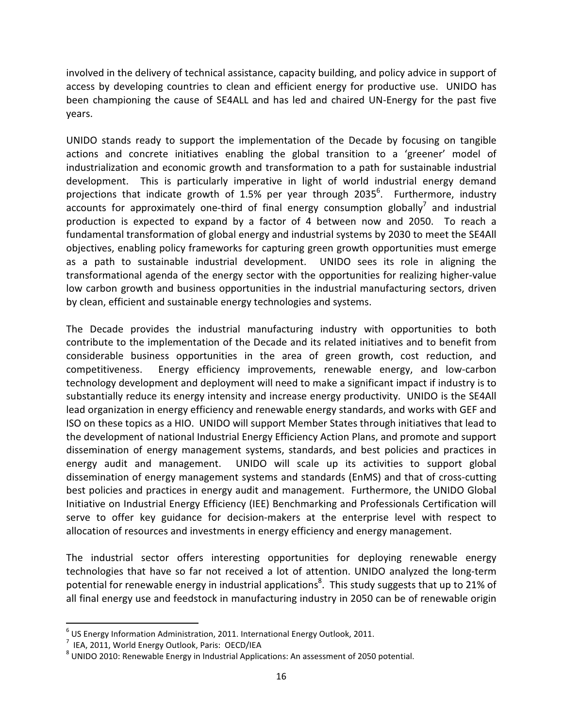involved in the delivery of technical assistance, capacity building, and policy advice in support of access by developing countries to clean and efficient energy for productive use. UNIDO has been championing the cause of SE4ALL and has led and chaired UN-Energy for the past five years.

UNIDO stands ready to support the implementation of the Decade by focusing on tangible actions and concrete initiatives enabling the global transition to a 'greener' model of industrialization and economic growth and transformation to a path for sustainable industrial development. This is particularly imperative in light of world industrial energy demand projections that indicate growth of 1.5% per year through 2035<sup>6</sup>. Furthermore, industry  $\alpha$  accounts for approximately one-third of final energy consumption globally<sup>7</sup> and industrial production is expected to expand by a factor of 4 between now and 2050. To reach a fundamental transformation of global energy and industrial systems by 2030 to meet the SE4All objectives, enabling policy frameworks for capturing green growth opportunities must emerge as a path to sustainable industrial development. UNIDO sees its role in aligning the transformational agenda of the energy sector with the opportunities for realizing higher-value low carbon growth and business opportunities in the industrial manufacturing sectors, driven by clean, efficient and sustainable energy technologies and systems.

The Decade provides the industrial manufacturing industry with opportunities to both contribute to the implementation of the Decade and its related initiatives and to benefit from considerable business opportunities in the area of green growth, cost reduction, and competitiveness. Energy efficiency improvements, renewable energy, and low-carbon technology development and deployment will need to make a significant impact if industry is to substantially reduce its energy intensity and increase energy productivity. UNIDO is the SE4All lead organization in energy efficiency and renewable energy standards, and works with GEF and ISO on these topics as a HIO. UNIDO will support Member States through initiatives that lead to the development of national Industrial Energy Efficiency Action Plans, and promote and support dissemination of energy management systems, standards, and best policies and practices in energy audit and management. UNIDO will scale up its activities to support global dissemination of energy management systems and standards (EnMS) and that of cross-cutting best policies and practices in energy audit and management. Furthermore, the UNIDO Global Initiative on Industrial Energy Efficiency (IEE) Benchmarking and Professionals Certification will serve to offer key guidance for decision-makers at the enterprise level with respect to allocation of resources and investments in energy efficiency and energy management.

The industrial sector offers interesting opportunities for deploying renewable energy technologies that have so far not received a lot of attention. UNIDO analyzed the long-term potential for renewable energy in industrial applications<sup>8</sup>. This study suggests that up to 21% of all final energy use and feedstock in manufacturing industry in 2050 can be of renewable origin

-

 $<sup>6</sup>$  US Energy Information Administration, 2011. International Energy Outlook, 2011.</sup>

<sup>7</sup> IEA, 2011, World Energy Outlook, Paris: OECD/IEA

<sup>8</sup> UNIDO 2010: Renewable Energy in Industrial Applications: An assessment of 2050 potential.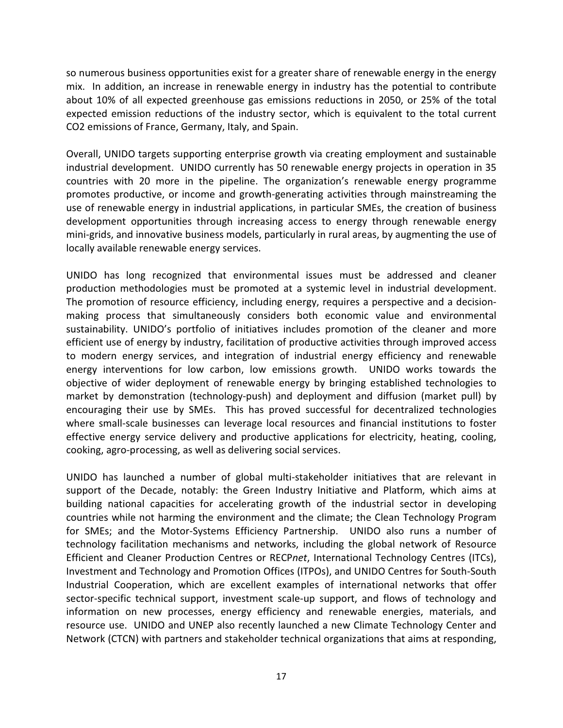so numerous business opportunities exist for a greater share of renewable energy in the energy mix. In addition, an increase in renewable energy in industry has the potential to contribute about 10% of all expected greenhouse gas emissions reductions in 2050, or 25% of the total expected emission reductions of the industry sector, which is equivalent to the total current CO2 emissions of France, Germany, Italy, and Spain.

Overall, UNIDO targets supporting enterprise growth via creating employment and sustainable industrial development. UNIDO currently has 50 renewable energy projects in operation in 35 countries with 20 more in the pipeline. The organization's renewable energy programme promotes productive, or income and growth-generating activities through mainstreaming the use of renewable energy in industrial applications, in particular SMEs, the creation of business development opportunities through increasing access to energy through renewable energy mini-grids, and innovative business models, particularly in rural areas, by augmenting the use of locally available renewable energy services.

UNIDO has long recognized that environmental issues must be addressed and cleaner production methodologies must be promoted at a systemic level in industrial development. The promotion of resource efficiency, including energy, requires a perspective and a decisionmaking process that simultaneously considers both economic value and environmental sustainability. UNIDO's portfolio of initiatives includes promotion of the cleaner and more efficient use of energy by industry, facilitation of productive activities through improved access to modern energy services, and integration of industrial energy efficiency and renewable energy interventions for low carbon, low emissions growth. UNIDO works towards the objective of wider deployment of renewable energy by bringing established technologies to market by demonstration (technology-push) and deployment and diffusion (market pull) by encouraging their use by SMEs. This has proved successful for decentralized technologies where small-scale businesses can leverage local resources and financial institutions to foster effective energy service delivery and productive applications for electricity, heating, cooling, cooking, agro-processing, as well as delivering social services.

UNIDO has launched a number of global multi-stakeholder initiatives that are relevant in support of the Decade, notably: the Green Industry Initiative and Platform, which aims at building national capacities for accelerating growth of the industrial sector in developing countries while not harming the environment and the climate; the Clean Technology Program for SMEs; and the Motor-Systems Efficiency Partnership. UNIDO also runs a number of technology facilitation mechanisms and networks, including the global network of Resource Efficient and Cleaner Production Centres or RECPnet, International Technology Centres (ITCs), Investment and Technology and Promotion Offices (ITPOs), and UNIDO Centres for South-South Industrial Cooperation, which are excellent examples of international networks that offer sector-specific technical support, investment scale-up support, and flows of technology and information on new processes, energy efficiency and renewable energies, materials, and resource use. UNIDO and UNEP also recently launched a new Climate Technology Center and Network (CTCN) with partners and stakeholder technical organizations that aims at responding,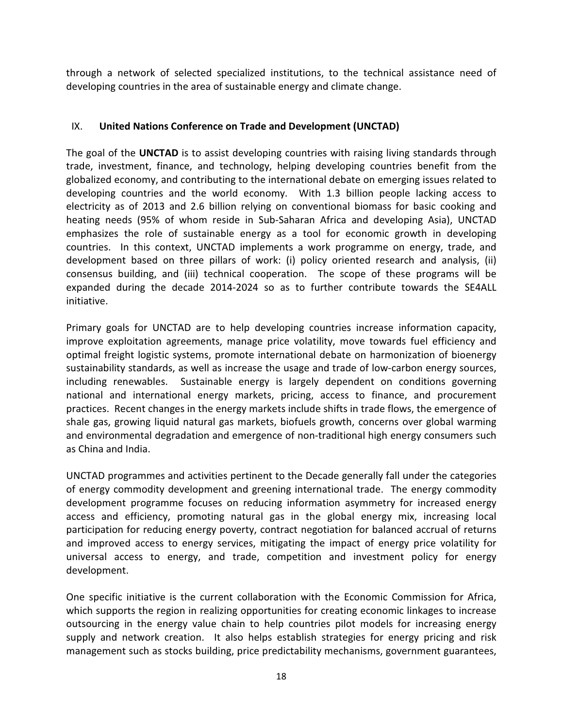through a network of selected specialized institutions, to the technical assistance need of developing countries in the area of sustainable energy and climate change.

# IX. United Nations Conference on Trade and Development (UNCTAD)

The goal of the UNCTAD is to assist developing countries with raising living standards through trade, investment, finance, and technology, helping developing countries benefit from the globalized economy, and contributing to the international debate on emerging issues related to developing countries and the world economy. With 1.3 billion people lacking access to electricity as of 2013 and 2.6 billion relying on conventional biomass for basic cooking and heating needs (95% of whom reside in Sub-Saharan Africa and developing Asia), UNCTAD emphasizes the role of sustainable energy as a tool for economic growth in developing countries. In this context, UNCTAD implements a work programme on energy, trade, and development based on three pillars of work: (i) policy oriented research and analysis, (ii) consensus building, and (iii) technical cooperation. The scope of these programs will be expanded during the decade 2014-2024 so as to further contribute towards the SE4ALL initiative.

Primary goals for UNCTAD are to help developing countries increase information capacity, improve exploitation agreements, manage price volatility, move towards fuel efficiency and optimal freight logistic systems, promote international debate on harmonization of bioenergy sustainability standards, as well as increase the usage and trade of low-carbon energy sources, including renewables. Sustainable energy is largely dependent on conditions governing national and international energy markets, pricing, access to finance, and procurement practices. Recent changes in the energy markets include shifts in trade flows, the emergence of shale gas, growing liquid natural gas markets, biofuels growth, concerns over global warming and environmental degradation and emergence of non-traditional high energy consumers such as China and India.

UNCTAD programmes and activities pertinent to the Decade generally fall under the categories of energy commodity development and greening international trade. The energy commodity development programme focuses on reducing information asymmetry for increased energy access and efficiency, promoting natural gas in the global energy mix, increasing local participation for reducing energy poverty, contract negotiation for balanced accrual of returns and improved access to energy services, mitigating the impact of energy price volatility for universal access to energy, and trade, competition and investment policy for energy development.

One specific initiative is the current collaboration with the Economic Commission for Africa, which supports the region in realizing opportunities for creating economic linkages to increase outsourcing in the energy value chain to help countries pilot models for increasing energy supply and network creation. It also helps establish strategies for energy pricing and risk management such as stocks building, price predictability mechanisms, government guarantees,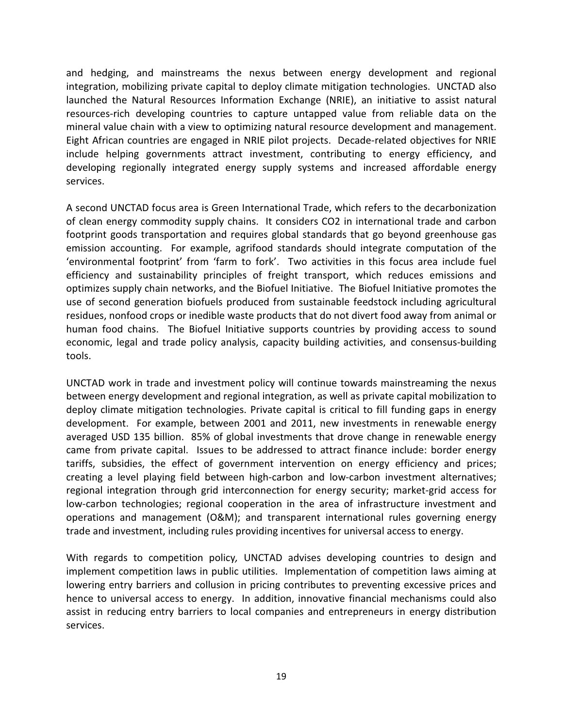and hedging, and mainstreams the nexus between energy development and regional integration, mobilizing private capital to deploy climate mitigation technologies. UNCTAD also launched the Natural Resources Information Exchange (NRIE), an initiative to assist natural resources-rich developing countries to capture untapped value from reliable data on the mineral value chain with a view to optimizing natural resource development and management. Eight African countries are engaged in NRIE pilot projects. Decade-related objectives for NRIE include helping governments attract investment, contributing to energy efficiency, and developing regionally integrated energy supply systems and increased affordable energy services.

A second UNCTAD focus area is Green International Trade, which refers to the decarbonization of clean energy commodity supply chains. It considers CO2 in international trade and carbon footprint goods transportation and requires global standards that go beyond greenhouse gas emission accounting. For example, agrifood standards should integrate computation of the 'environmental footprint' from 'farm to fork'. Two activities in this focus area include fuel efficiency and sustainability principles of freight transport, which reduces emissions and optimizes supply chain networks, and the Biofuel Initiative. The Biofuel Initiative promotes the use of second generation biofuels produced from sustainable feedstock including agricultural residues, nonfood crops or inedible waste products that do not divert food away from animal or human food chains. The Biofuel Initiative supports countries by providing access to sound economic, legal and trade policy analysis, capacity building activities, and consensus-building tools.

UNCTAD work in trade and investment policy will continue towards mainstreaming the nexus between energy development and regional integration, as well as private capital mobilization to deploy climate mitigation technologies. Private capital is critical to fill funding gaps in energy development. For example, between 2001 and 2011, new investments in renewable energy averaged USD 135 billion. 85% of global investments that drove change in renewable energy came from private capital. Issues to be addressed to attract finance include: border energy tariffs, subsidies, the effect of government intervention on energy efficiency and prices; creating a level playing field between high-carbon and low-carbon investment alternatives; regional integration through grid interconnection for energy security; market-grid access for low-carbon technologies; regional cooperation in the area of infrastructure investment and operations and management (O&M); and transparent international rules governing energy trade and investment, including rules providing incentives for universal access to energy.

With regards to competition policy, UNCTAD advises developing countries to design and implement competition laws in public utilities. Implementation of competition laws aiming at lowering entry barriers and collusion in pricing contributes to preventing excessive prices and hence to universal access to energy. In addition, innovative financial mechanisms could also assist in reducing entry barriers to local companies and entrepreneurs in energy distribution services.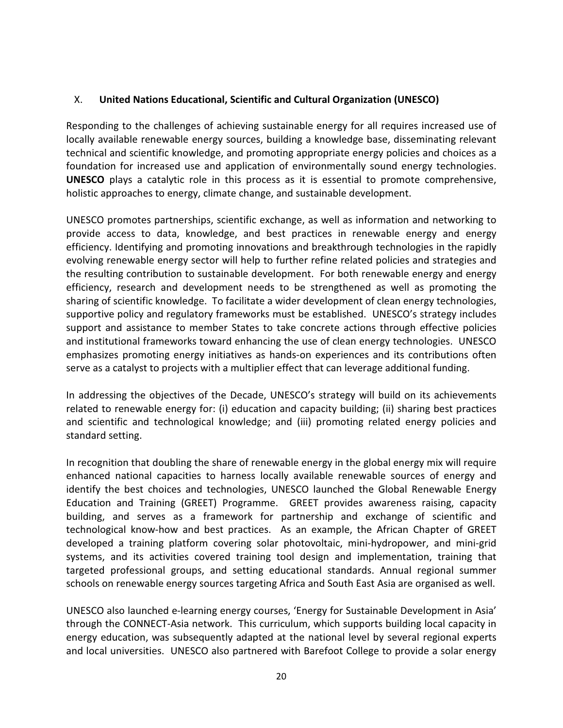## X. United Nations Educational, Scientific and Cultural Organization (UNESCO)

Responding to the challenges of achieving sustainable energy for all requires increased use of locally available renewable energy sources, building a knowledge base, disseminating relevant technical and scientific knowledge, and promoting appropriate energy policies and choices as a foundation for increased use and application of environmentally sound energy technologies. UNESCO plays a catalytic role in this process as it is essential to promote comprehensive, holistic approaches to energy, climate change, and sustainable development.

UNESCO promotes partnerships, scientific exchange, as well as information and networking to provide access to data, knowledge, and best practices in renewable energy and energy efficiency. Identifying and promoting innovations and breakthrough technologies in the rapidly evolving renewable energy sector will help to further refine related policies and strategies and the resulting contribution to sustainable development. For both renewable energy and energy efficiency, research and development needs to be strengthened as well as promoting the sharing of scientific knowledge. To facilitate a wider development of clean energy technologies, supportive policy and regulatory frameworks must be established. UNESCO's strategy includes support and assistance to member States to take concrete actions through effective policies and institutional frameworks toward enhancing the use of clean energy technologies. UNESCO emphasizes promoting energy initiatives as hands-on experiences and its contributions often serve as a catalyst to projects with a multiplier effect that can leverage additional funding.

In addressing the objectives of the Decade, UNESCO's strategy will build on its achievements related to renewable energy for: (i) education and capacity building; (ii) sharing best practices and scientific and technological knowledge; and (iii) promoting related energy policies and standard setting.

In recognition that doubling the share of renewable energy in the global energy mix will require enhanced national capacities to harness locally available renewable sources of energy and identify the best choices and technologies, UNESCO launched the Global Renewable Energy Education and Training (GREET) Programme. GREET provides awareness raising, capacity building, and serves as a framework for partnership and exchange of scientific and technological know-how and best practices. As an example, the African Chapter of GREET developed a training platform covering solar photovoltaic, mini-hydropower, and mini-grid systems, and its activities covered training tool design and implementation, training that targeted professional groups, and setting educational standards. Annual regional summer schools on renewable energy sources targeting Africa and South East Asia are organised as well.

UNESCO also launched e-learning energy courses, 'Energy for Sustainable Development in Asia' through the CONNECT-Asia network. This curriculum, which supports building local capacity in energy education, was subsequently adapted at the national level by several regional experts and local universities. UNESCO also partnered with Barefoot College to provide a solar energy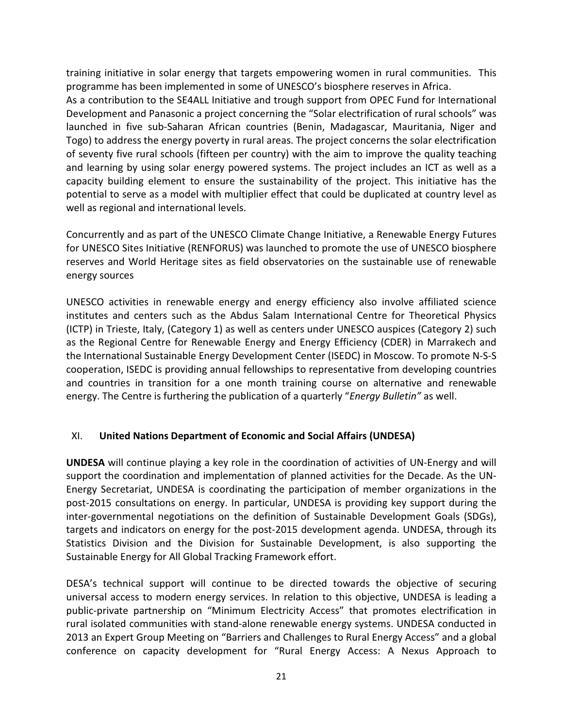training initiative in solar energy that targets empowering women in rural communities. This programme has been implemented in some of UNESCO's biosphere reserves in Africa.

As a contribution to the SE4ALL Initiative and trough support from OPEC Fund for International Development and Panasonic a project concerning the "Solar electrification of rural schools" was launched in five sub-Saharan African countries (Benin, Madagascar, Mauritania, Niger and Togo) to address the energy poverty in rural areas. The project concerns the solar electrification of seventy five rural schools (fifteen per country) with the aim to improve the quality teaching and learning by using solar energy powered systems. The project includes an ICT as well as a capacity building element to ensure the sustainability of the project. This initiative has the potential to serve as a model with multiplier effect that could be duplicated at country level as well as regional and international levels.

Concurrently and as part of the UNESCO Climate Change Initiative, a Renewable Energy Futures for UNESCO Sites Initiative (RENFORUS) was launched to promote the use of UNESCO biosphere reserves and World Heritage sites as field observatories on the sustainable use of renewable energy sources

UNESCO activities in renewable energy and energy efficiency also involve affiliated science institutes and centers such as the Abdus Salam International Centre for Theoretical Physics (ICTP) in Trieste, Italy, (Category 1) as well as centers under UNESCO auspices (Category 2) such as the Regional Centre for Renewable Energy and Energy Efficiency (CDER) in Marrakech and the International Sustainable Energy Development Center (ISEDC) in Moscow. To promote N-S-S cooperation, ISEDC is providing annual fellowships to representative from developing countries and countries in transition for a one month training course on alternative and renewable energy. The Centre is furthering the publication of a quarterly "*Energy Bulletin*" as well.

# XI. United Nations Department of Economic and Social Affairs (UNDESA)

UNDESA will continue playing a key role in the coordination of activities of UN-Energy and will support the coordination and implementation of planned activities for the Decade. As the UN-Energy Secretariat, UNDESA is coordinating the participation of member organizations in the post-2015 consultations on energy. In particular, UNDESA is providing key support during the inter-governmental negotiations on the definition of Sustainable Development Goals (SDGs), targets and indicators on energy for the post-2015 development agenda. UNDESA, through its Statistics Division and the Division for Sustainable Development, is also supporting the Sustainable Energy for All Global Tracking Framework effort.

DESA's technical support will continue to be directed towards the objective of securing universal access to modern energy services. In relation to this objective, UNDESA is leading a public-private partnership on "Minimum Electricity Access" that promotes electrification in rural isolated communities with stand-alone renewable energy systems. UNDESA conducted in 2013 an Expert Group Meeting on "Barriers and Challenges to Rural Energy Access" and a global conference on capacity development for "Rural Energy Access: A Nexus Approach to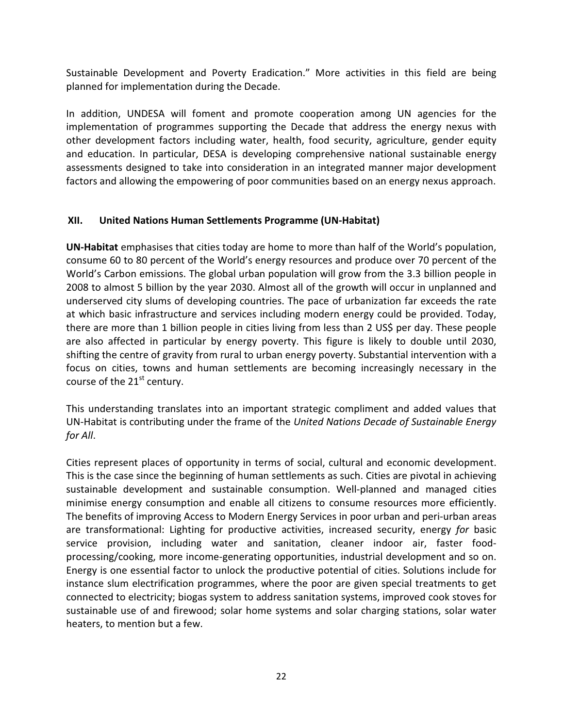Sustainable Development and Poverty Eradication." More activities in this field are being planned for implementation during the Decade.

In addition, UNDESA will foment and promote cooperation among UN agencies for the implementation of programmes supporting the Decade that address the energy nexus with other development factors including water, health, food security, agriculture, gender equity and education. In particular, DESA is developing comprehensive national sustainable energy assessments designed to take into consideration in an integrated manner major development factors and allowing the empowering of poor communities based on an energy nexus approach.

# XII. United Nations Human Settlements Programme (UN-Habitat)

UN-Habitat emphasises that cities today are home to more than half of the World's population, consume 60 to 80 percent of the World's energy resources and produce over 70 percent of the World's Carbon emissions. The global urban population will grow from the 3.3 billion people in 2008 to almost 5 billion by the year 2030. Almost all of the growth will occur in unplanned and underserved city slums of developing countries. The pace of urbanization far exceeds the rate at which basic infrastructure and services including modern energy could be provided. Today, there are more than 1 billion people in cities living from less than 2 US\$ per day. These people are also affected in particular by energy poverty. This figure is likely to double until 2030, shifting the centre of gravity from rural to urban energy poverty. Substantial intervention with a focus on cities, towns and human settlements are becoming increasingly necessary in the course of the  $21<sup>st</sup>$  century.

This understanding translates into an important strategic compliment and added values that UN-Habitat is contributing under the frame of the United Nations Decade of Sustainable Energy for All.

Cities represent places of opportunity in terms of social, cultural and economic development. This is the case since the beginning of human settlements as such. Cities are pivotal in achieving sustainable development and sustainable consumption. Well-planned and managed cities minimise energy consumption and enable all citizens to consume resources more efficiently. The benefits of improving Access to Modern Energy Services in poor urban and peri-urban areas are transformational: Lighting for productive activities, increased security, energy for basic service provision, including water and sanitation, cleaner indoor air, faster foodprocessing/cooking, more income-generating opportunities, industrial development and so on. Energy is one essential factor to unlock the productive potential of cities. Solutions include for instance slum electrification programmes, where the poor are given special treatments to get connected to electricity; biogas system to address sanitation systems, improved cook stoves for sustainable use of and firewood; solar home systems and solar charging stations, solar water heaters, to mention but a few.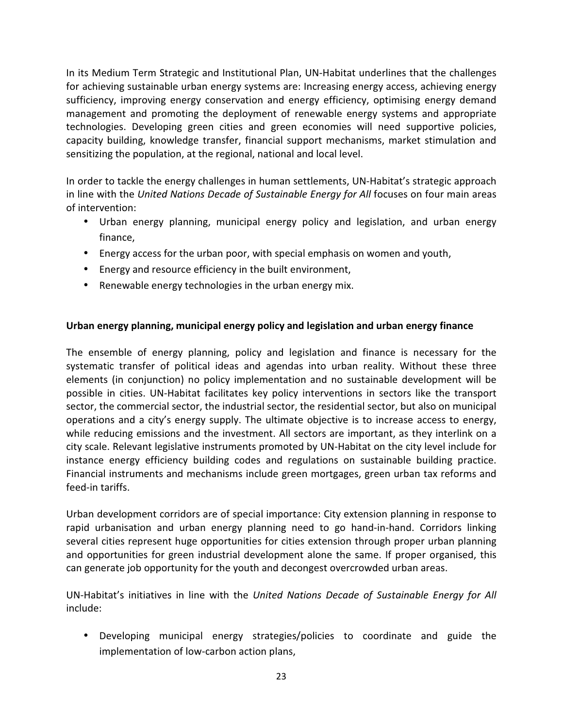In its Medium Term Strategic and Institutional Plan, UN-Habitat underlines that the challenges for achieving sustainable urban energy systems are: Increasing energy access, achieving energy sufficiency, improving energy conservation and energy efficiency, optimising energy demand management and promoting the deployment of renewable energy systems and appropriate technologies. Developing green cities and green economies will need supportive policies, capacity building, knowledge transfer, financial support mechanisms, market stimulation and sensitizing the population, at the regional, national and local level.

In order to tackle the energy challenges in human settlements, UN-Habitat's strategic approach in line with the United Nations Decade of Sustainable Energy for All focuses on four main areas of intervention:

- Urban energy planning, municipal energy policy and legislation, and urban energy finance,
- Energy access for the urban poor, with special emphasis on women and youth,
- Energy and resource efficiency in the built environment,
- Renewable energy technologies in the urban energy mix.

# Urban energy planning, municipal energy policy and legislation and urban energy finance

The ensemble of energy planning, policy and legislation and finance is necessary for the systematic transfer of political ideas and agendas into urban reality. Without these three elements (in conjunction) no policy implementation and no sustainable development will be possible in cities. UN-Habitat facilitates key policy interventions in sectors like the transport sector, the commercial sector, the industrial sector, the residential sector, but also on municipal operations and a city's energy supply. The ultimate objective is to increase access to energy, while reducing emissions and the investment. All sectors are important, as they interlink on a city scale. Relevant legislative instruments promoted by UN-Habitat on the city level include for instance energy efficiency building codes and regulations on sustainable building practice. Financial instruments and mechanisms include green mortgages, green urban tax reforms and feed-in tariffs.

Urban development corridors are of special importance: City extension planning in response to rapid urbanisation and urban energy planning need to go hand-in-hand. Corridors linking several cities represent huge opportunities for cities extension through proper urban planning and opportunities for green industrial development alone the same. If proper organised, this can generate job opportunity for the youth and decongest overcrowded urban areas.

UN-Habitat's initiatives in line with the United Nations Decade of Sustainable Energy for All include:

• Developing municipal energy strategies/policies to coordinate and guide the implementation of low-carbon action plans,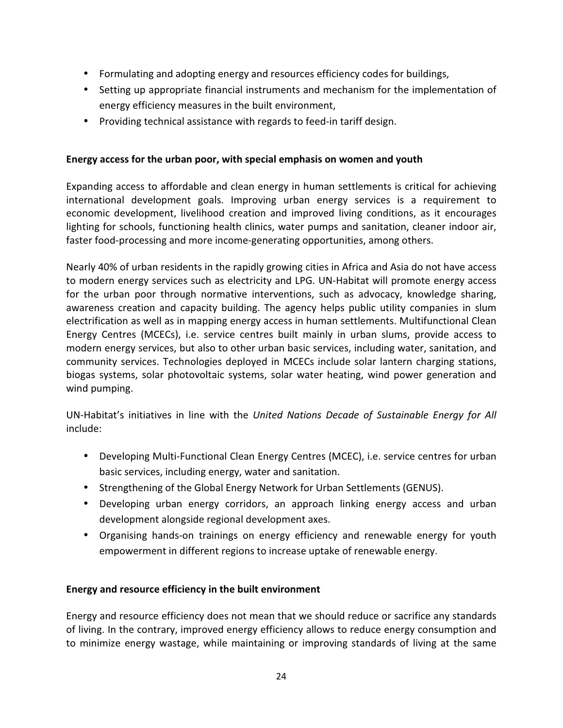- Formulating and adopting energy and resources efficiency codes for buildings,
- Setting up appropriate financial instruments and mechanism for the implementation of energy efficiency measures in the built environment,
- Providing technical assistance with regards to feed-in tariff design.

## Energy access for the urban poor, with special emphasis on women and youth

Expanding access to affordable and clean energy in human settlements is critical for achieving international development goals. Improving urban energy services is a requirement to economic development, livelihood creation and improved living conditions, as it encourages lighting for schools, functioning health clinics, water pumps and sanitation, cleaner indoor air, faster food-processing and more income-generating opportunities, among others.

Nearly 40% of urban residents in the rapidly growing cities in Africa and Asia do not have access to modern energy services such as electricity and LPG. UN-Habitat will promote energy access for the urban poor through normative interventions, such as advocacy, knowledge sharing, awareness creation and capacity building. The agency helps public utility companies in slum electrification as well as in mapping energy access in human settlements. Multifunctional Clean Energy Centres (MCECs), i.e. service centres built mainly in urban slums, provide access to modern energy services, but also to other urban basic services, including water, sanitation, and community services. Technologies deployed in MCECs include solar lantern charging stations, biogas systems, solar photovoltaic systems, solar water heating, wind power generation and wind pumping.

UN-Habitat's initiatives in line with the United Nations Decade of Sustainable Energy for All include:

- Developing Multi-Functional Clean Energy Centres (MCEC), i.e. service centres for urban basic services, including energy, water and sanitation.
- Strengthening of the Global Energy Network for Urban Settlements (GENUS).
- Developing urban energy corridors, an approach linking energy access and urban development alongside regional development axes.
- Organising hands-on trainings on energy efficiency and renewable energy for youth empowerment in different regions to increase uptake of renewable energy.

## Energy and resource efficiency in the built environment

Energy and resource efficiency does not mean that we should reduce or sacrifice any standards of living. In the contrary, improved energy efficiency allows to reduce energy consumption and to minimize energy wastage, while maintaining or improving standards of living at the same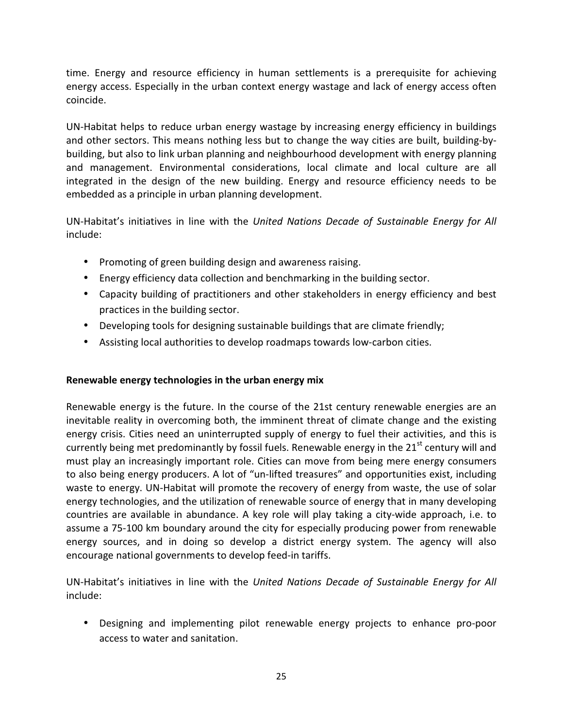time. Energy and resource efficiency in human settlements is a prerequisite for achieving energy access. Especially in the urban context energy wastage and lack of energy access often coincide.

UN-Habitat helps to reduce urban energy wastage by increasing energy efficiency in buildings and other sectors. This means nothing less but to change the way cities are built, building-bybuilding, but also to link urban planning and neighbourhood development with energy planning and management. Environmental considerations, local climate and local culture are all integrated in the design of the new building. Energy and resource efficiency needs to be embedded as a principle in urban planning development.

UN-Habitat's initiatives in line with the United Nations Decade of Sustainable Energy for All include:

- Promoting of green building design and awareness raising.
- Energy efficiency data collection and benchmarking in the building sector.
- Capacity building of practitioners and other stakeholders in energy efficiency and best practices in the building sector.
- Developing tools for designing sustainable buildings that are climate friendly;
- Assisting local authorities to develop roadmaps towards low-carbon cities.

# Renewable energy technologies in the urban energy mix

Renewable energy is the future. In the course of the 21st century renewable energies are an inevitable reality in overcoming both, the imminent threat of climate change and the existing energy crisis. Cities need an uninterrupted supply of energy to fuel their activities, and this is currently being met predominantly by fossil fuels. Renewable energy in the  $21<sup>st</sup>$  century will and must play an increasingly important role. Cities can move from being mere energy consumers to also being energy producers. A lot of "un-lifted treasures" and opportunities exist, including waste to energy. UN-Habitat will promote the recovery of energy from waste, the use of solar energy technologies, and the utilization of renewable source of energy that in many developing countries are available in abundance. A key role will play taking a city-wide approach, i.e. to assume a 75-100 km boundary around the city for especially producing power from renewable energy sources, and in doing so develop a district energy system. The agency will also encourage national governments to develop feed-in tariffs.

UN-Habitat's initiatives in line with the United Nations Decade of Sustainable Energy for All include:

• Designing and implementing pilot renewable energy projects to enhance pro-poor access to water and sanitation.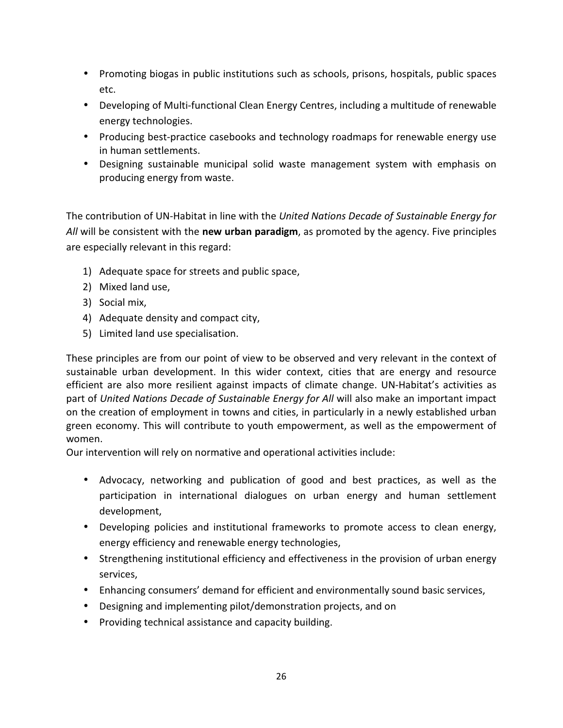- Promoting biogas in public institutions such as schools, prisons, hospitals, public spaces etc.
- Developing of Multi-functional Clean Energy Centres, including a multitude of renewable energy technologies.
- Producing best-practice casebooks and technology roadmaps for renewable energy use in human settlements.
- Designing sustainable municipal solid waste management system with emphasis on producing energy from waste.

The contribution of UN-Habitat in line with the United Nations Decade of Sustainable Energy for All will be consistent with the new urban paradigm, as promoted by the agency. Five principles are especially relevant in this regard:

- 1) Adequate space for streets and public space,
- 2) Mixed land use,
- 3) Social mix,
- 4) Adequate density and compact city,
- 5) Limited land use specialisation.

These principles are from our point of view to be observed and very relevant in the context of sustainable urban development. In this wider context, cities that are energy and resource efficient are also more resilient against impacts of climate change. UN-Habitat's activities as part of United Nations Decade of Sustainable Energy for All will also make an important impact on the creation of employment in towns and cities, in particularly in a newly established urban green economy. This will contribute to youth empowerment, as well as the empowerment of women.

Our intervention will rely on normative and operational activities include:

- Advocacy, networking and publication of good and best practices, as well as the participation in international dialogues on urban energy and human settlement development,
- Developing policies and institutional frameworks to promote access to clean energy, energy efficiency and renewable energy technologies,
- Strengthening institutional efficiency and effectiveness in the provision of urban energy services,
- Enhancing consumers' demand for efficient and environmentally sound basic services,
- Designing and implementing pilot/demonstration projects, and on
- Providing technical assistance and capacity building.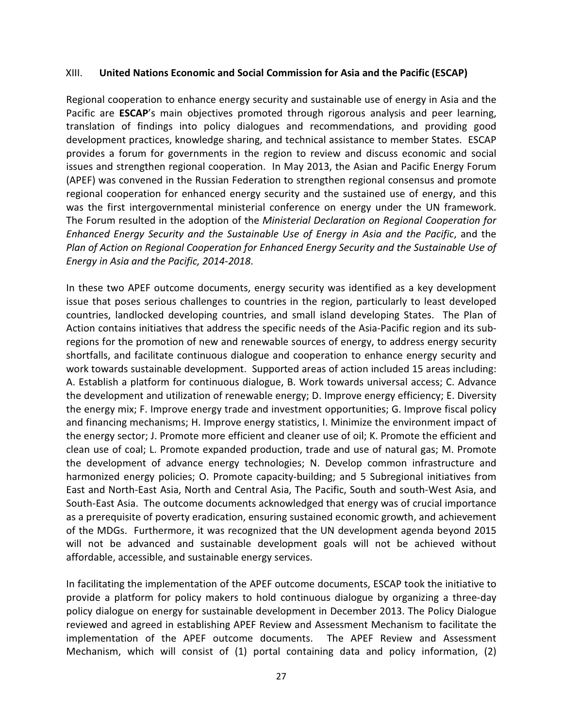#### XIII. United Nations Economic and Social Commission for Asia and the Pacific (ESCAP)

Regional cooperation to enhance energy security and sustainable use of energy in Asia and the Pacific are **ESCAP**'s main objectives promoted through rigorous analysis and peer learning, translation of findings into policy dialogues and recommendations, and providing good development practices, knowledge sharing, and technical assistance to member States. ESCAP provides a forum for governments in the region to review and discuss economic and social issues and strengthen regional cooperation. In May 2013, the Asian and Pacific Energy Forum (APEF) was convened in the Russian Federation to strengthen regional consensus and promote regional cooperation for enhanced energy security and the sustained use of energy, and this was the first intergovernmental ministerial conference on energy under the UN framework. The Forum resulted in the adoption of the Ministerial Declaration on Regional Cooperation for Enhanced Energy Security and the Sustainable Use of Energy in Asia and the Pacific, and the Plan of Action on Regional Cooperation for Enhanced Energy Security and the Sustainable Use of Energy in Asia and the Pacific, 2014-2018.

In these two APEF outcome documents, energy security was identified as a key development issue that poses serious challenges to countries in the region, particularly to least developed countries, landlocked developing countries, and small island developing States. The Plan of Action contains initiatives that address the specific needs of the Asia-Pacific region and its subregions for the promotion of new and renewable sources of energy, to address energy security shortfalls, and facilitate continuous dialogue and cooperation to enhance energy security and work towards sustainable development. Supported areas of action included 15 areas including: A. Establish a platform for continuous dialogue, B. Work towards universal access; C. Advance the development and utilization of renewable energy; D. Improve energy efficiency; E. Diversity the energy mix; F. Improve energy trade and investment opportunities; G. Improve fiscal policy and financing mechanisms; H. Improve energy statistics, I. Minimize the environment impact of the energy sector; J. Promote more efficient and cleaner use of oil; K. Promote the efficient and clean use of coal; L. Promote expanded production, trade and use of natural gas; M. Promote the development of advance energy technologies; N. Develop common infrastructure and harmonized energy policies; O. Promote capacity-building; and 5 Subregional initiatives from East and North-East Asia, North and Central Asia, The Pacific, South and south-West Asia, and South-East Asia. The outcome documents acknowledged that energy was of crucial importance as a prerequisite of poverty eradication, ensuring sustained economic growth, and achievement of the MDGs. Furthermore, it was recognized that the UN development agenda beyond 2015 will not be advanced and sustainable development goals will not be achieved without affordable, accessible, and sustainable energy services.

In facilitating the implementation of the APEF outcome documents, ESCAP took the initiative to provide a platform for policy makers to hold continuous dialogue by organizing a three-day policy dialogue on energy for sustainable development in December 2013. The Policy Dialogue reviewed and agreed in establishing APEF Review and Assessment Mechanism to facilitate the implementation of the APEF outcome documents. The APEF Review and Assessment Mechanism, which will consist of (1) portal containing data and policy information, (2)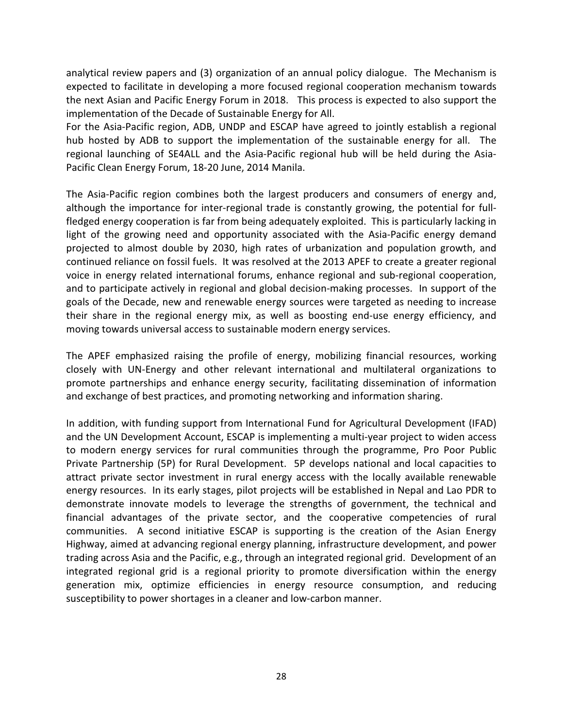analytical review papers and (3) organization of an annual policy dialogue. The Mechanism is expected to facilitate in developing a more focused regional cooperation mechanism towards the next Asian and Pacific Energy Forum in 2018. This process is expected to also support the implementation of the Decade of Sustainable Energy for All.

For the Asia-Pacific region, ADB, UNDP and ESCAP have agreed to jointly establish a regional hub hosted by ADB to support the implementation of the sustainable energy for all. The regional launching of SE4ALL and the Asia-Pacific regional hub will be held during the Asia-Pacific Clean Energy Forum, 18-20 June, 2014 Manila.

The Asia-Pacific region combines both the largest producers and consumers of energy and, although the importance for inter-regional trade is constantly growing, the potential for fullfledged energy cooperation is far from being adequately exploited. This is particularly lacking in light of the growing need and opportunity associated with the Asia-Pacific energy demand projected to almost double by 2030, high rates of urbanization and population growth, and continued reliance on fossil fuels. It was resolved at the 2013 APEF to create a greater regional voice in energy related international forums, enhance regional and sub-regional cooperation, and to participate actively in regional and global decision-making processes. In support of the goals of the Decade, new and renewable energy sources were targeted as needing to increase their share in the regional energy mix, as well as boosting end-use energy efficiency, and moving towards universal access to sustainable modern energy services.

The APEF emphasized raising the profile of energy, mobilizing financial resources, working closely with UN-Energy and other relevant international and multilateral organizations to promote partnerships and enhance energy security, facilitating dissemination of information and exchange of best practices, and promoting networking and information sharing.

In addition, with funding support from International Fund for Agricultural Development (IFAD) and the UN Development Account, ESCAP is implementing a multi-year project to widen access to modern energy services for rural communities through the programme, Pro Poor Public Private Partnership (5P) for Rural Development. 5P develops national and local capacities to attract private sector investment in rural energy access with the locally available renewable energy resources. In its early stages, pilot projects will be established in Nepal and Lao PDR to demonstrate innovate models to leverage the strengths of government, the technical and financial advantages of the private sector, and the cooperative competencies of rural communities. A second initiative ESCAP is supporting is the creation of the Asian Energy Highway, aimed at advancing regional energy planning, infrastructure development, and power trading across Asia and the Pacific, e.g., through an integrated regional grid. Development of an integrated regional grid is a regional priority to promote diversification within the energy generation mix, optimize efficiencies in energy resource consumption, and reducing susceptibility to power shortages in a cleaner and low-carbon manner.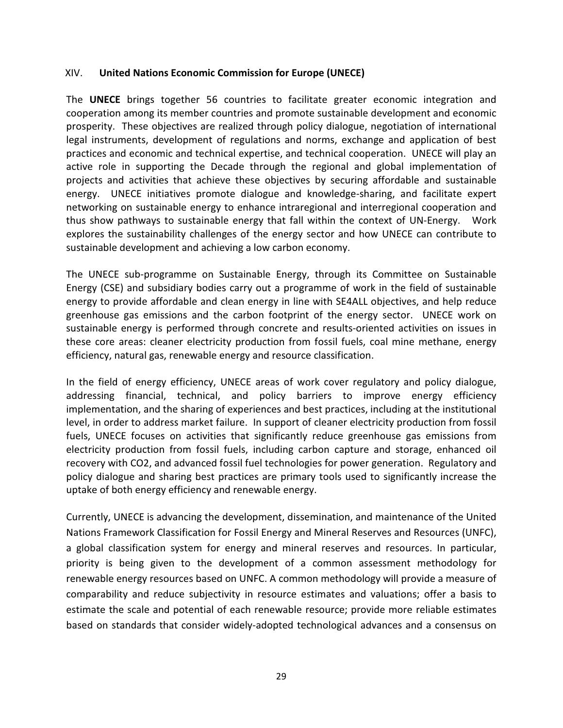## XIV. United Nations Economic Commission for Europe (UNECE)

The UNECE brings together 56 countries to facilitate greater economic integration and cooperation among its member countries and promote sustainable development and economic prosperity. These objectives are realized through policy dialogue, negotiation of international legal instruments, development of regulations and norms, exchange and application of best practices and economic and technical expertise, and technical cooperation. UNECE will play an active role in supporting the Decade through the regional and global implementation of projects and activities that achieve these objectives by securing affordable and sustainable energy. UNECE initiatives promote dialogue and knowledge-sharing, and facilitate expert networking on sustainable energy to enhance intraregional and interregional cooperation and thus show pathways to sustainable energy that fall within the context of UN-Energy. Work explores the sustainability challenges of the energy sector and how UNECE can contribute to sustainable development and achieving a low carbon economy.

The UNECE sub-programme on Sustainable Energy, through its Committee on Sustainable Energy (CSE) and subsidiary bodies carry out a programme of work in the field of sustainable energy to provide affordable and clean energy in line with SE4ALL objectives, and help reduce greenhouse gas emissions and the carbon footprint of the energy sector. UNECE work on sustainable energy is performed through concrete and results-oriented activities on issues in these core areas: cleaner electricity production from fossil fuels, coal mine methane, energy efficiency, natural gas, renewable energy and resource classification.

In the field of energy efficiency, UNECE areas of work cover regulatory and policy dialogue, addressing financial, technical, and policy barriers to improve energy efficiency implementation, and the sharing of experiences and best practices, including at the institutional level, in order to address market failure. In support of cleaner electricity production from fossil fuels, UNECE focuses on activities that significantly reduce greenhouse gas emissions from electricity production from fossil fuels, including carbon capture and storage, enhanced oil recovery with CO2, and advanced fossil fuel technologies for power generation. Regulatory and policy dialogue and sharing best practices are primary tools used to significantly increase the uptake of both energy efficiency and renewable energy.

Currently, UNECE is advancing the development, dissemination, and maintenance of the United Nations Framework Classification for Fossil Energy and Mineral Reserves and Resources (UNFC), a global classification system for energy and mineral reserves and resources. In particular, priority is being given to the development of a common assessment methodology for renewable energy resources based on UNFC. A common methodology will provide a measure of comparability and reduce subjectivity in resource estimates and valuations; offer a basis to estimate the scale and potential of each renewable resource; provide more reliable estimates based on standards that consider widely-adopted technological advances and a consensus on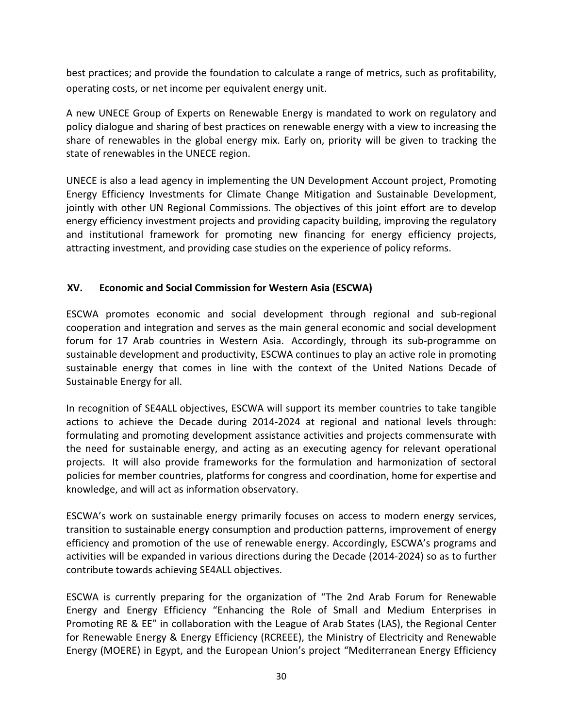best practices; and provide the foundation to calculate a range of metrics, such as profitability, operating costs, or net income per equivalent energy unit.

A new UNECE Group of Experts on Renewable Energy is mandated to work on regulatory and policy dialogue and sharing of best practices on renewable energy with a view to increasing the share of renewables in the global energy mix. Early on, priority will be given to tracking the state of renewables in the UNECE region.

UNECE is also a lead agency in implementing the UN Development Account project, Promoting Energy Efficiency Investments for Climate Change Mitigation and Sustainable Development, jointly with other UN Regional Commissions. The objectives of this joint effort are to develop energy efficiency investment projects and providing capacity building, improving the regulatory and institutional framework for promoting new financing for energy efficiency projects, attracting investment, and providing case studies on the experience of policy reforms.

# XV. Economic and Social Commission for Western Asia (ESCWA)

ESCWA promotes economic and social development through regional and sub-regional cooperation and integration and serves as the main general economic and social development forum for 17 Arab countries in Western Asia. Accordingly, through its sub-programme on sustainable development and productivity, ESCWA continues to play an active role in promoting sustainable energy that comes in line with the context of the United Nations Decade of Sustainable Energy for all.

In recognition of SE4ALL objectives, ESCWA will support its member countries to take tangible actions to achieve the Decade during 2014-2024 at regional and national levels through: formulating and promoting development assistance activities and projects commensurate with the need for sustainable energy, and acting as an executing agency for relevant operational projects. It will also provide frameworks for the formulation and harmonization of sectoral policies for member countries, platforms for congress and coordination, home for expertise and knowledge, and will act as information observatory.

ESCWA's work on sustainable energy primarily focuses on access to modern energy services, transition to sustainable energy consumption and production patterns, improvement of energy efficiency and promotion of the use of renewable energy. Accordingly, ESCWA's programs and activities will be expanded in various directions during the Decade (2014-2024) so as to further contribute towards achieving SE4ALL objectives.

ESCWA is currently preparing for the organization of "The 2nd Arab Forum for Renewable Energy and Energy Efficiency "Enhancing the Role of Small and Medium Enterprises in Promoting RE & EE" in collaboration with the League of Arab States (LAS), the Regional Center for Renewable Energy & Energy Efficiency (RCREEE), the Ministry of Electricity and Renewable Energy (MOERE) in Egypt, and the European Union's project "Mediterranean Energy Efficiency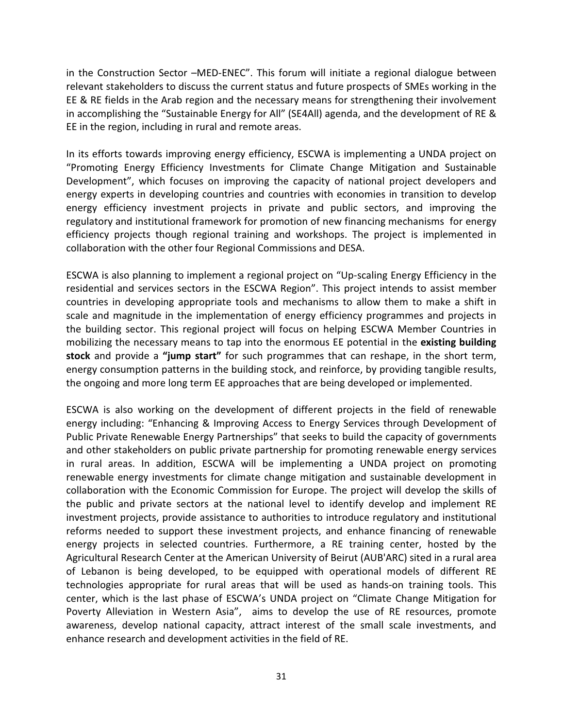in the Construction Sector –MED-ENEC". This forum will initiate a regional dialogue between relevant stakeholders to discuss the current status and future prospects of SMEs working in the EE & RE fields in the Arab region and the necessary means for strengthening their involvement in accomplishing the "Sustainable Energy for All" (SE4All) agenda, and the development of RE & EE in the region, including in rural and remote areas.

In its efforts towards improving energy efficiency, ESCWA is implementing a UNDA project on "Promoting Energy Efficiency Investments for Climate Change Mitigation and Sustainable Development", which focuses on improving the capacity of national project developers and energy experts in developing countries and countries with economies in transition to develop energy efficiency investment projects in private and public sectors, and improving the regulatory and institutional framework for promotion of new financing mechanisms for energy efficiency projects though regional training and workshops. The project is implemented in collaboration with the other four Regional Commissions and DESA.

ESCWA is also planning to implement a regional project on "Up-scaling Energy Efficiency in the residential and services sectors in the ESCWA Region". This project intends to assist member countries in developing appropriate tools and mechanisms to allow them to make a shift in scale and magnitude in the implementation of energy efficiency programmes and projects in the building sector. This regional project will focus on helping ESCWA Member Countries in mobilizing the necessary means to tap into the enormous EE potential in the existing building stock and provide a "jump start" for such programmes that can reshape, in the short term, energy consumption patterns in the building stock, and reinforce, by providing tangible results, the ongoing and more long term EE approaches that are being developed or implemented.

ESCWA is also working on the development of different projects in the field of renewable energy including: "Enhancing & Improving Access to Energy Services through Development of Public Private Renewable Energy Partnerships" that seeks to build the capacity of governments and other stakeholders on public private partnership for promoting renewable energy services in rural areas. In addition, ESCWA will be implementing a UNDA project on promoting renewable energy investments for climate change mitigation and sustainable development in collaboration with the Economic Commission for Europe. The project will develop the skills of the public and private sectors at the national level to identify develop and implement RE investment projects, provide assistance to authorities to introduce regulatory and institutional reforms needed to support these investment projects, and enhance financing of renewable energy projects in selected countries. Furthermore, a RE training center, hosted by the Agricultural Research Center at the American University of Beirut (AUB'ARC) sited in a rural area of Lebanon is being developed, to be equipped with operational models of different RE technologies appropriate for rural areas that will be used as hands-on training tools. This center, which is the last phase of ESCWA's UNDA project on "Climate Change Mitigation for Poverty Alleviation in Western Asia", aims to develop the use of RE resources, promote awareness, develop national capacity, attract interest of the small scale investments, and enhance research and development activities in the field of RE.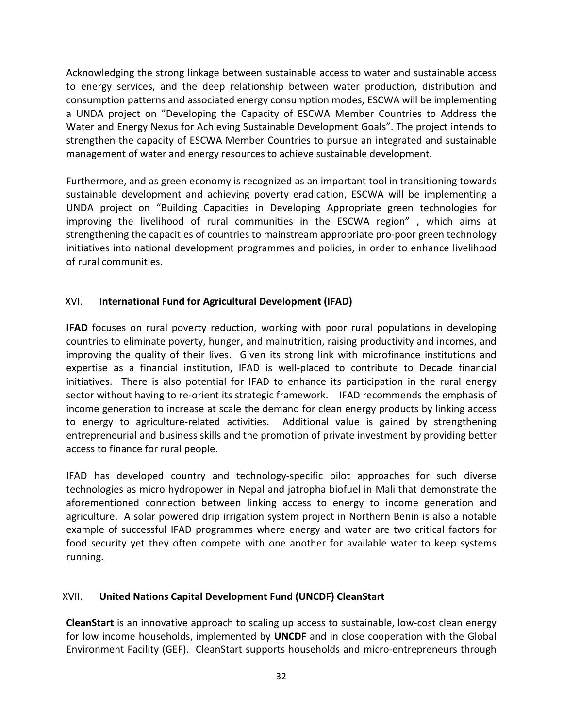Acknowledging the strong linkage between sustainable access to water and sustainable access to energy services, and the deep relationship between water production, distribution and consumption patterns and associated energy consumption modes, ESCWA will be implementing a UNDA project on "Developing the Capacity of ESCWA Member Countries to Address the Water and Energy Nexus for Achieving Sustainable Development Goals". The project intends to strengthen the capacity of ESCWA Member Countries to pursue an integrated and sustainable management of water and energy resources to achieve sustainable development.

Furthermore, and as green economy is recognized as an important tool in transitioning towards sustainable development and achieving poverty eradication, ESCWA will be implementing a UNDA project on "Building Capacities in Developing Appropriate green technologies for improving the livelihood of rural communities in the ESCWA region" , which aims at strengthening the capacities of countries to mainstream appropriate pro-poor green technology initiatives into national development programmes and policies, in order to enhance livelihood of rural communities.

# XVI. International Fund for Agricultural Development (IFAD)

IFAD focuses on rural poverty reduction, working with poor rural populations in developing countries to eliminate poverty, hunger, and malnutrition, raising productivity and incomes, and improving the quality of their lives. Given its strong link with microfinance institutions and expertise as a financial institution, IFAD is well-placed to contribute to Decade financial initiatives. There is also potential for IFAD to enhance its participation in the rural energy sector without having to re-orient its strategic framework. IFAD recommends the emphasis of income generation to increase at scale the demand for clean energy products by linking access to energy to agriculture-related activities. Additional value is gained by strengthening entrepreneurial and business skills and the promotion of private investment by providing better access to finance for rural people.

IFAD has developed country and technology-specific pilot approaches for such diverse technologies as micro hydropower in Nepal and jatropha biofuel in Mali that demonstrate the aforementioned connection between linking access to energy to income generation and agriculture. A solar powered drip irrigation system project in Northern Benin is also a notable example of successful IFAD programmes where energy and water are two critical factors for food security yet they often compete with one another for available water to keep systems running.

# XVII. United Nations Capital Development Fund (UNCDF) CleanStart

CleanStart is an innovative approach to scaling up access to sustainable, low-cost clean energy for low income households, implemented by UNCDF and in close cooperation with the Global Environment Facility (GEF). CleanStart supports households and micro-entrepreneurs through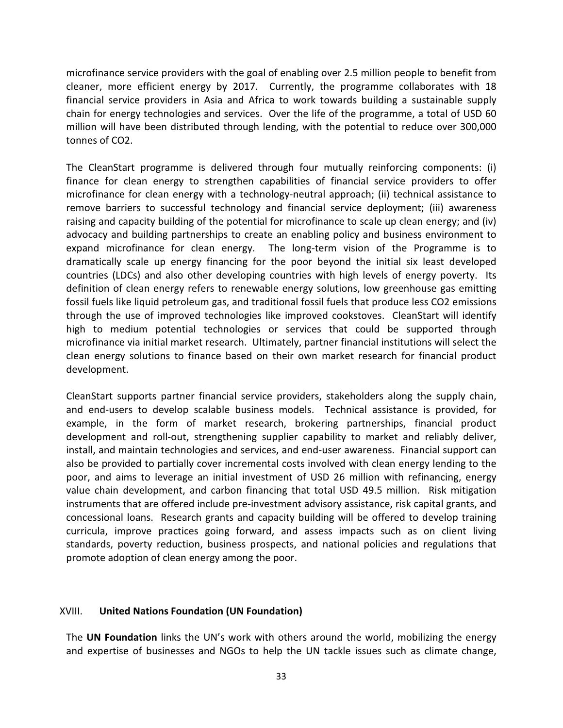microfinance service providers with the goal of enabling over 2.5 million people to benefit from cleaner, more efficient energy by 2017. Currently, the programme collaborates with 18 financial service providers in Asia and Africa to work towards building a sustainable supply chain for energy technologies and services. Over the life of the programme, a total of USD 60 million will have been distributed through lending, with the potential to reduce over 300,000 tonnes of CO2.

The CleanStart programme is delivered through four mutually reinforcing components: (i) finance for clean energy to strengthen capabilities of financial service providers to offer microfinance for clean energy with a technology-neutral approach; (ii) technical assistance to remove barriers to successful technology and financial service deployment; (iii) awareness raising and capacity building of the potential for microfinance to scale up clean energy; and (iv) advocacy and building partnerships to create an enabling policy and business environment to expand microfinance for clean energy. The long-term vision of the Programme is to dramatically scale up energy financing for the poor beyond the initial six least developed countries (LDCs) and also other developing countries with high levels of energy poverty. Its definition of clean energy refers to renewable energy solutions, low greenhouse gas emitting fossil fuels like liquid petroleum gas, and traditional fossil fuels that produce less CO2 emissions through the use of improved technologies like improved cookstoves. CleanStart will identify high to medium potential technologies or services that could be supported through microfinance via initial market research. Ultimately, partner financial institutions will select the clean energy solutions to finance based on their own market research for financial product development.

CleanStart supports partner financial service providers, stakeholders along the supply chain, and end-users to develop scalable business models. Technical assistance is provided, for example, in the form of market research, brokering partnerships, financial product development and roll-out, strengthening supplier capability to market and reliably deliver, install, and maintain technologies and services, and end-user awareness. Financial support can also be provided to partially cover incremental costs involved with clean energy lending to the poor, and aims to leverage an initial investment of USD 26 million with refinancing, energy value chain development, and carbon financing that total USD 49.5 million. Risk mitigation instruments that are offered include pre-investment advisory assistance, risk capital grants, and concessional loans. Research grants and capacity building will be offered to develop training curricula, improve practices going forward, and assess impacts such as on client living standards, poverty reduction, business prospects, and national policies and regulations that promote adoption of clean energy among the poor.

## XVIII. United Nations Foundation (UN Foundation)

The UN Foundation links the UN's work with others around the world, mobilizing the energy and expertise of businesses and NGOs to help the UN tackle issues such as climate change,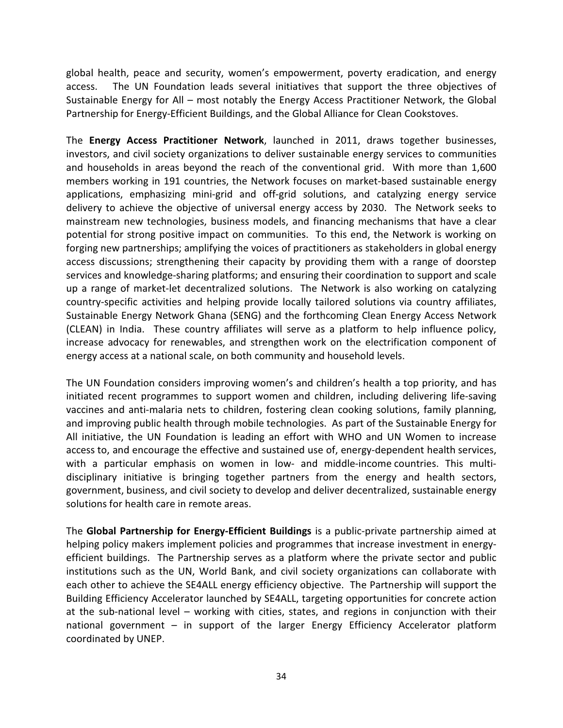global health, peace and security, women's empowerment, poverty eradication, and energy access. The UN Foundation leads several initiatives that support the three objectives of Sustainable Energy for All – most notably the Energy Access Practitioner Network, the Global Partnership for Energy-Efficient Buildings, and the Global Alliance for Clean Cookstoves.

The Energy Access Practitioner Network, launched in 2011, draws together businesses, investors, and civil society organizations to deliver sustainable energy services to communities and households in areas beyond the reach of the conventional grid. With more than 1,600 members working in 191 countries, the Network focuses on market-based sustainable energy applications, emphasizing mini-grid and off-grid solutions, and catalyzing energy service delivery to achieve the objective of universal energy access by 2030. The Network seeks to mainstream new technologies, business models, and financing mechanisms that have a clear potential for strong positive impact on communities. To this end, the Network is working on forging new partnerships; amplifying the voices of practitioners as stakeholders in global energy access discussions; strengthening their capacity by providing them with a range of doorstep services and knowledge-sharing platforms; and ensuring their coordination to support and scale up a range of market-let decentralized solutions. The Network is also working on catalyzing country-specific activities and helping provide locally tailored solutions via country affiliates, Sustainable Energy Network Ghana (SENG) and the forthcoming Clean Energy Access Network (CLEAN) in India. These country affiliates will serve as a platform to help influence policy, increase advocacy for renewables, and strengthen work on the electrification component of energy access at a national scale, on both community and household levels.

The UN Foundation considers improving women's and children's health a top priority, and has initiated recent programmes to support women and children, including delivering life-saving vaccines and anti-malaria nets to children, fostering clean cooking solutions, family planning, and improving public health through mobile technologies. As part of the Sustainable Energy for All initiative, the UN Foundation is leading an effort with WHO and UN Women to increase access to, and encourage the effective and sustained use of, energy-dependent health services, with a particular emphasis on women in low- and middle-income countries. This multidisciplinary initiative is bringing together partners from the energy and health sectors, government, business, and civil society to develop and deliver decentralized, sustainable energy solutions for health care in remote areas.

The Global Partnership for Energy-Efficient Buildings is a public-private partnership aimed at helping policy makers implement policies and programmes that increase investment in energyefficient buildings. The Partnership serves as a platform where the private sector and public institutions such as the UN, World Bank, and civil society organizations can collaborate with each other to achieve the SE4ALL energy efficiency objective. The Partnership will support the Building Efficiency Accelerator launched by SE4ALL, targeting opportunities for concrete action at the sub-national level – working with cities, states, and regions in conjunction with their national government – in support of the larger Energy Efficiency Accelerator platform coordinated by UNEP.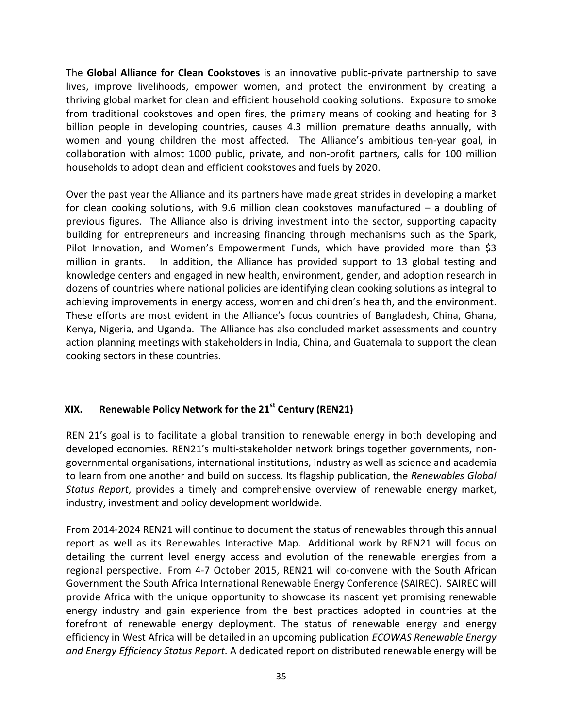The Global Alliance for Clean Cookstoves is an innovative public-private partnership to save lives, improve livelihoods, empower women, and protect the environment by creating a thriving global market for clean and efficient household cooking solutions. Exposure to smoke from traditional cookstoves and open fires, the primary means of cooking and heating for 3 billion people in developing countries, causes 4.3 million premature deaths annually, with women and young children the most affected. The Alliance's ambitious ten-year goal, in collaboration with almost 1000 public, private, and non-profit partners, calls for 100 million households to adopt clean and efficient cookstoves and fuels by 2020.

Over the past year the Alliance and its partners have made great strides in developing a market for clean cooking solutions, with 9.6 million clean cookstoves manufactured – a doubling of previous figures. The Alliance also is driving investment into the sector, supporting capacity building for entrepreneurs and increasing financing through mechanisms such as the Spark, Pilot Innovation, and Women's Empowerment Funds, which have provided more than \$3 million in grants. In addition, the Alliance has provided support to 13 global testing and knowledge centers and engaged in new health, environment, gender, and adoption research in dozens of countries where national policies are identifying clean cooking solutions as integral to achieving improvements in energy access, women and children's health, and the environment. These efforts are most evident in the Alliance's focus countries of Bangladesh, China, Ghana, Kenya, Nigeria, and Uganda. The Alliance has also concluded market assessments and country action planning meetings with stakeholders in India, China, and Guatemala to support the clean cooking sectors in these countries.

# XIX. Renewable Policy Network for the  $21<sup>st</sup>$  Century (REN21)

REN 21's goal is to facilitate a global transition to renewable energy in both developing and developed economies. REN21's multi-stakeholder network brings together governments, nongovernmental organisations, international institutions, industry as well as science and academia to learn from one another and build on success. Its flagship publication, the Renewables Global Status Report, provides a timely and comprehensive overview of renewable energy market, industry, investment and policy development worldwide.

From 2014-2024 REN21 will continue to document the status of renewables through this annual report as well as its Renewables Interactive Map. Additional work by REN21 will focus on detailing the current level energy access and evolution of the renewable energies from a regional perspective. From 4-7 October 2015, REN21 will co-convene with the South African Government the South Africa International Renewable Energy Conference (SAIREC). SAIREC will provide Africa with the unique opportunity to showcase its nascent yet promising renewable energy industry and gain experience from the best practices adopted in countries at the forefront of renewable energy deployment. The status of renewable energy and energy efficiency in West Africa will be detailed in an upcoming publication *ECOWAS Renewable Energy* and Energy Efficiency Status Report. A dedicated report on distributed renewable energy will be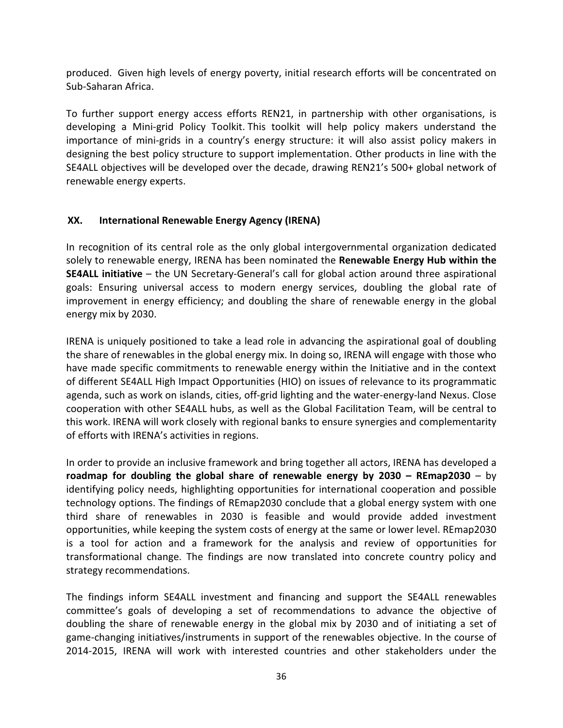produced. Given high levels of energy poverty, initial research efforts will be concentrated on Sub-Saharan Africa.

To further support energy access efforts REN21, in partnership with other organisations, is developing a Mini-grid Policy Toolkit. This toolkit will help policy makers understand the importance of mini-grids in a country's energy structure: it will also assist policy makers in designing the best policy structure to support implementation. Other products in line with the SE4ALL objectives will be developed over the decade, drawing REN21's 500+ global network of renewable energy experts.

# XX. International Renewable Energy Agency (IRENA)

In recognition of its central role as the only global intergovernmental organization dedicated solely to renewable energy, IRENA has been nominated the **Renewable Energy Hub within the** SE4ALL initiative – the UN Secretary-General's call for global action around three aspirational goals: Ensuring universal access to modern energy services, doubling the global rate of improvement in energy efficiency; and doubling the share of renewable energy in the global energy mix by 2030.

IRENA is uniquely positioned to take a lead role in advancing the aspirational goal of doubling the share of renewables in the global energy mix. In doing so, IRENA will engage with those who have made specific commitments to renewable energy within the Initiative and in the context of different SE4ALL High Impact Opportunities (HIO) on issues of relevance to its programmatic agenda, such as work on islands, cities, off-grid lighting and the water-energy-land Nexus. Close cooperation with other SE4ALL hubs, as well as the Global Facilitation Team, will be central to this work. IRENA will work closely with regional banks to ensure synergies and complementarity of efforts with IRENA's activities in regions.

In order to provide an inclusive framework and bring together all actors, IRENA has developed a roadmap for doubling the global share of renewable energy by 2030 – REmap2030 – by identifying policy needs, highlighting opportunities for international cooperation and possible technology options. The findings of REmap2030 conclude that a global energy system with one third share of renewables in 2030 is feasible and would provide added investment opportunities, while keeping the system costs of energy at the same or lower level. REmap2030 is a tool for action and a framework for the analysis and review of opportunities for transformational change. The findings are now translated into concrete country policy and strategy recommendations.

The findings inform SE4ALL investment and financing and support the SE4ALL renewables committee's goals of developing a set of recommendations to advance the objective of doubling the share of renewable energy in the global mix by 2030 and of initiating a set of game-changing initiatives/instruments in support of the renewables objective. In the course of 2014-2015, IRENA will work with interested countries and other stakeholders under the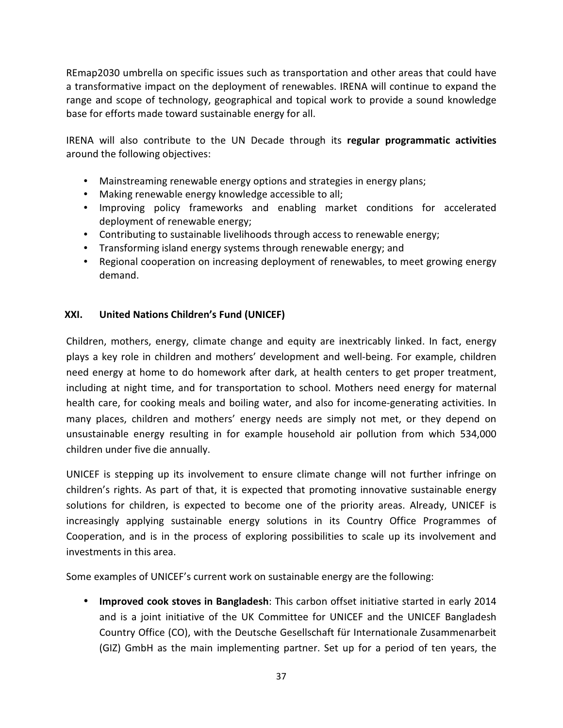REmap2030 umbrella on specific issues such as transportation and other areas that could have a transformative impact on the deployment of renewables. IRENA will continue to expand the range and scope of technology, geographical and topical work to provide a sound knowledge base for efforts made toward sustainable energy for all.

IRENA will also contribute to the UN Decade through its regular programmatic activities around the following objectives:

- Mainstreaming renewable energy options and strategies in energy plans;
- Making renewable energy knowledge accessible to all;
- Improving policy frameworks and enabling market conditions for accelerated deployment of renewable energy;
- Contributing to sustainable livelihoods through access to renewable energy;
- Transforming island energy systems through renewable energy; and
- Regional cooperation on increasing deployment of renewables, to meet growing energy demand.

# XXI. United Nations Children's Fund (UNICEF)

Children, mothers, energy, climate change and equity are inextricably linked. In fact, energy plays a key role in children and mothers' development and well-being. For example, children need energy at home to do homework after dark, at health centers to get proper treatment, including at night time, and for transportation to school. Mothers need energy for maternal health care, for cooking meals and boiling water, and also for income-generating activities. In many places, children and mothers' energy needs are simply not met, or they depend on unsustainable energy resulting in for example household air pollution from which 534,000 children under five die annually.

UNICEF is stepping up its involvement to ensure climate change will not further infringe on children's rights. As part of that, it is expected that promoting innovative sustainable energy solutions for children, is expected to become one of the priority areas. Already, UNICEF is increasingly applying sustainable energy solutions in its Country Office Programmes of Cooperation, and is in the process of exploring possibilities to scale up its involvement and investments in this area.

Some examples of UNICEF's current work on sustainable energy are the following:

• Improved cook stoves in Bangladesh: This carbon offset initiative started in early 2014 and is a joint initiative of the UK Committee for UNICEF and the UNICEF Bangladesh Country Office (CO), with the Deutsche Gesellschaft für Internationale Zusammenarbeit (GIZ) GmbH as the main implementing partner. Set up for a period of ten years, the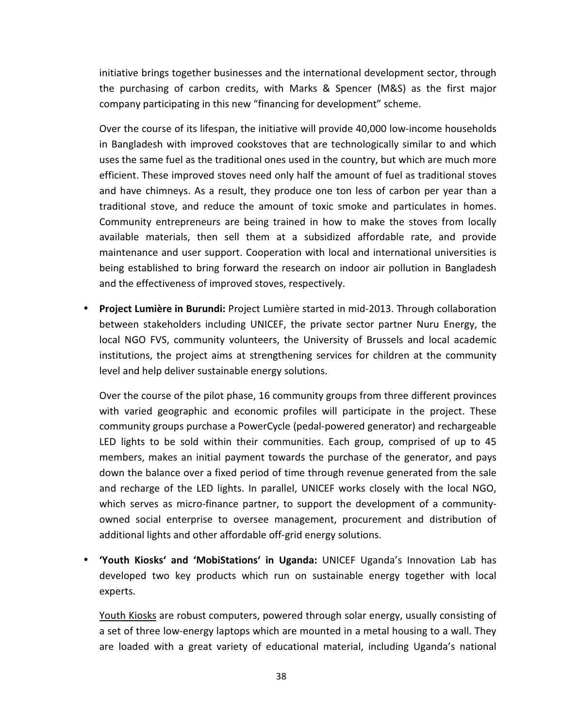initiative brings together businesses and the international development sector, through the purchasing of carbon credits, with Marks & Spencer (M&S) as the first major company participating in this new "financing for development" scheme.

Over the course of its lifespan, the initiative will provide 40,000 low-income households in Bangladesh with improved cookstoves that are technologically similar to and which uses the same fuel as the traditional ones used in the country, but which are much more efficient. These improved stoves need only half the amount of fuel as traditional stoves and have chimneys. As a result, they produce one ton less of carbon per year than a traditional stove, and reduce the amount of toxic smoke and particulates in homes. Community entrepreneurs are being trained in how to make the stoves from locally available materials, then sell them at a subsidized affordable rate, and provide maintenance and user support. Cooperation with local and international universities is being established to bring forward the research on indoor air pollution in Bangladesh and the effectiveness of improved stoves, respectively.

• Project Lumière in Burundi: Project Lumière started in mid-2013. Through collaboration between stakeholders including UNICEF, the private sector partner Nuru Energy, the local NGO FVS, community volunteers, the University of Brussels and local academic institutions, the project aims at strengthening services for children at the community level and help deliver sustainable energy solutions.

Over the course of the pilot phase, 16 community groups from three different provinces with varied geographic and economic profiles will participate in the project. These community groups purchase a PowerCycle (pedal-powered generator) and rechargeable LED lights to be sold within their communities. Each group, comprised of up to 45 members, makes an initial payment towards the purchase of the generator, and pays down the balance over a fixed period of time through revenue generated from the sale and recharge of the LED lights. In parallel, UNICEF works closely with the local NGO, which serves as micro-finance partner, to support the development of a communityowned social enterprise to oversee management, procurement and distribution of additional lights and other affordable off-grid energy solutions.

• 'Youth Kiosks' and 'MobiStations' in Uganda: UNICEF Uganda's Innovation Lab has developed two key products which run on sustainable energy together with local experts.

Youth Kiosks are robust computers, powered through solar energy, usually consisting of a set of three low-energy laptops which are mounted in a metal housing to a wall. They are loaded with a great variety of educational material, including Uganda's national